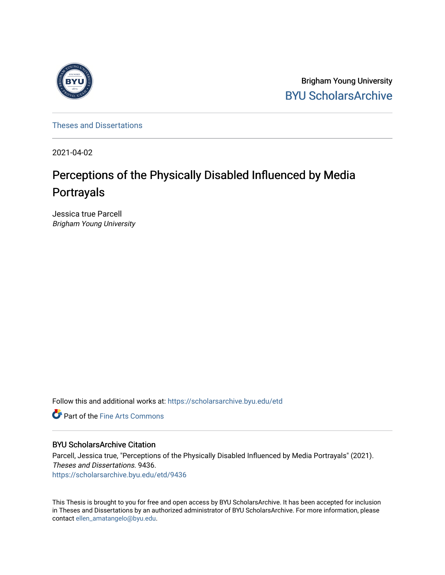

Brigham Young University [BYU ScholarsArchive](https://scholarsarchive.byu.edu/) 

[Theses and Dissertations](https://scholarsarchive.byu.edu/etd)

2021-04-02

# Perceptions of the Physically Disabled Influenced by Media Portrayals

Jessica true Parcell Brigham Young University

Follow this and additional works at: [https://scholarsarchive.byu.edu/etd](https://scholarsarchive.byu.edu/etd?utm_source=scholarsarchive.byu.edu%2Fetd%2F9436&utm_medium=PDF&utm_campaign=PDFCoverPages)

**C** Part of the Fine Arts Commons

### BYU ScholarsArchive Citation

Parcell, Jessica true, "Perceptions of the Physically Disabled Influenced by Media Portrayals" (2021). Theses and Dissertations. 9436. [https://scholarsarchive.byu.edu/etd/9436](https://scholarsarchive.byu.edu/etd/9436?utm_source=scholarsarchive.byu.edu%2Fetd%2F9436&utm_medium=PDF&utm_campaign=PDFCoverPages) 

This Thesis is brought to you for free and open access by BYU ScholarsArchive. It has been accepted for inclusion in Theses and Dissertations by an authorized administrator of BYU ScholarsArchive. For more information, please contact [ellen\\_amatangelo@byu.edu.](mailto:ellen_amatangelo@byu.edu)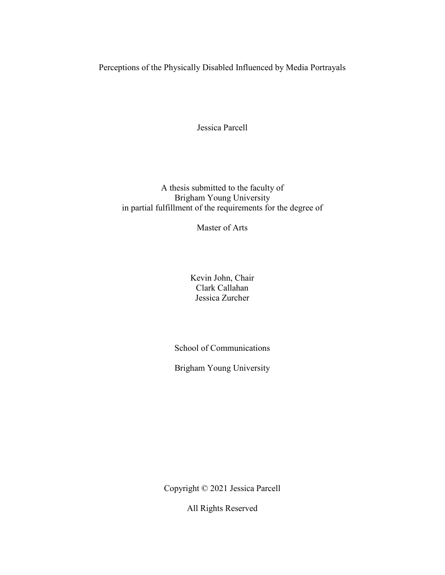Perceptions of the Physically Disabled Influenced by Media Portrayals

Jessica Parcell

A thesis submitted to the faculty of Brigham Young University in partial fulfillment of the requirements for the degree of

Master of Arts

Kevin John, Chair Clark Callahan Jessica Zurcher

School of Communications

Brigham Young University

Copyright © 2021 Jessica Parcell

All Rights Reserved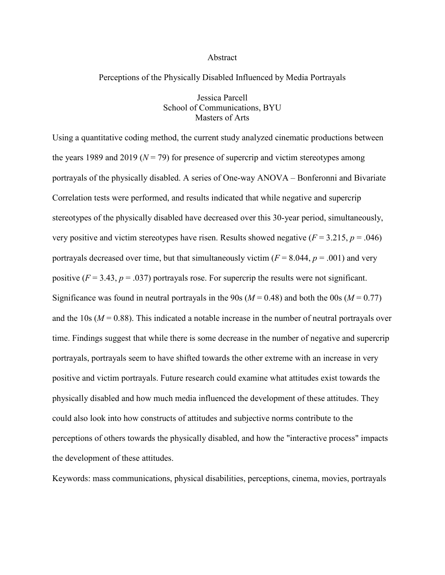#### Abstract

#### Perceptions of the Physically Disabled Influenced by Media Portrayals

Jessica Parcell School of Communications, BYU Masters of Arts

Using a quantitative coding method, the current study analyzed cinematic productions between the years 1989 and 2019 ( $N = 79$ ) for presence of supercrip and victim stereotypes among portrayals of the physically disabled. A series of One-way ANOVA – Bonferonni and Bivariate Correlation tests were performed, and results indicated that while negative and supercrip stereotypes of the physically disabled have decreased over this 30-year period, simultaneously, very positive and victim stereotypes have risen. Results showed negative  $(F = 3.215, p = .046)$ portrayals decreased over time, but that simultaneously victim  $(F = 8.044, p = .001)$  and very positive  $(F = 3.43, p = .037)$  portrayals rose. For supercrip the results were not significant. Significance was found in neutral portrayals in the 90s ( $M = 0.48$ ) and both the 00s ( $M = 0.77$ ) and the 10s ( $M = 0.88$ ). This indicated a notable increase in the number of neutral portrayals over time. Findings suggest that while there is some decrease in the number of negative and supercrip portrayals, portrayals seem to have shifted towards the other extreme with an increase in very positive and victim portrayals. Future research could examine what attitudes exist towards the physically disabled and how much media influenced the development of these attitudes. They could also look into how constructs of attitudes and subjective norms contribute to the perceptions of others towards the physically disabled, and how the "interactive process" impacts the development of these attitudes.

Keywords: mass communications, physical disabilities, perceptions, cinema, movies, portrayals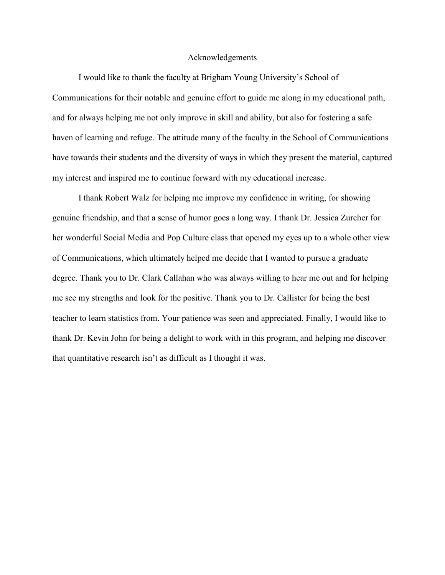#### Acknowledgements

I would like to thank the faculty at Brigham Young University's School of Communications for their notable and genuine effort to guide me along in my educational path, and for always helping me not only improve in skill and ability, but also for fostering a safe haven of learning and refuge. The attitude many of the faculty in the School of Communications have towards their students and the diversity of ways in which they present the material, captured my interest and inspired me to continue forward with my educational increase.

I thank Robert Walz for helping me improve my confidence in writing, for showing genuine friendship, and that a sense of humor goes a long way. I thank Dr. Jessica Zurcher for her wonderful Social Media and Pop Culture class that opened my eyes up to a whole other view of Communications, which ultimately helped me decide that I wanted to pursue a graduate degree. Thank you to Dr. Clark Callahan who was always willing to hear me out and for helping me see my strengths and look for the positive. Thank you to Dr. Callister for being the best teacher to learn statistics from. Your patience was seen and appreciated. Finally, I would like to thank Dr. Kevin John for being a delight to work with in this program, and helping me discover that quantitative research isn't as difficult as I thought it was.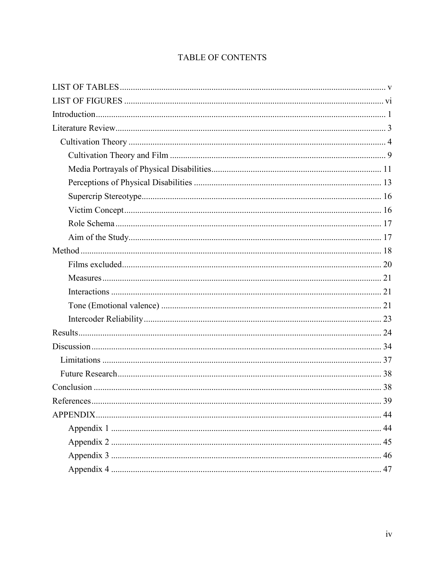## TABLE OF CONTENTS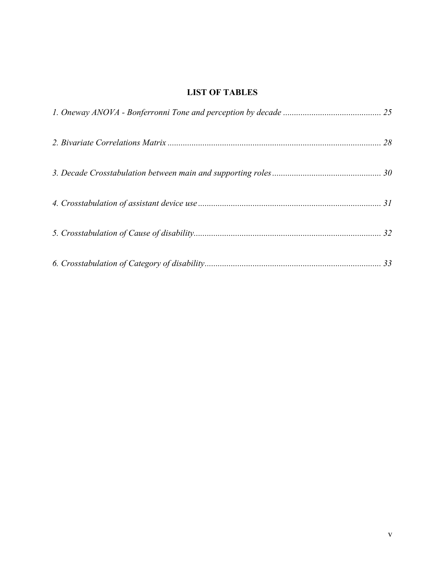## <span id="page-5-0"></span>**LIST OF TABLES**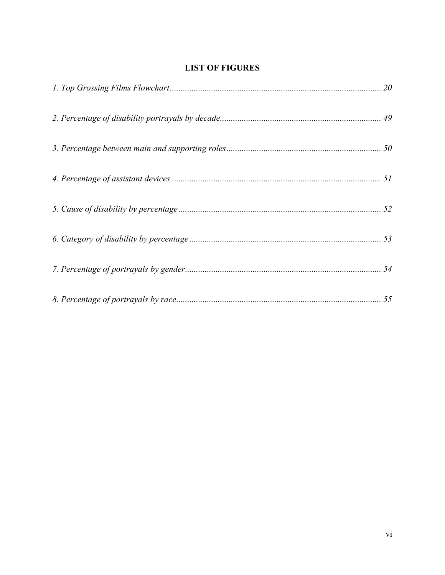## **LIST OF FIGURES**

<span id="page-6-0"></span>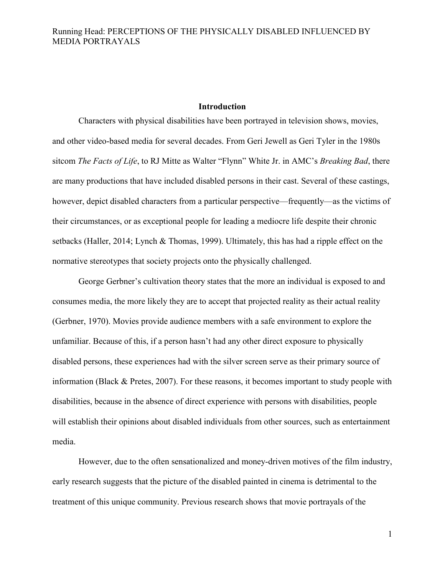#### **Introduction**

<span id="page-7-0"></span>Characters with physical disabilities have been portrayed in television shows, movies, and other video-based media for several decades. From Geri Jewell as Geri Tyler in the 1980s sitcom *The Facts of Life*, to RJ Mitte as Walter "Flynn" White Jr. in AMC's *Breaking Bad*, there are many productions that have included disabled persons in their cast. Several of these castings, however, depict disabled characters from a particular perspective—frequently—as the victims of their circumstances, or as exceptional people for leading a mediocre life despite their chronic setbacks (Haller, 2014; Lynch & Thomas, 1999). Ultimately, this has had a ripple effect on the normative stereotypes that society projects onto the physically challenged.

George Gerbner's cultivation theory states that the more an individual is exposed to and consumes media, the more likely they are to accept that projected reality as their actual reality (Gerbner, 1970). Movies provide audience members with a safe environment to explore the unfamiliar. Because of this, if a person hasn't had any other direct exposure to physically disabled persons, these experiences had with the silver screen serve as their primary source of information (Black & Pretes, 2007). For these reasons, it becomes important to study people with disabilities, because in the absence of direct experience with persons with disabilities, people will establish their opinions about disabled individuals from other sources, such as entertainment media.

However, due to the often sensationalized and money-driven motives of the film industry, early research suggests that the picture of the disabled painted in cinema is detrimental to the treatment of this unique community. Previous research shows that movie portrayals of the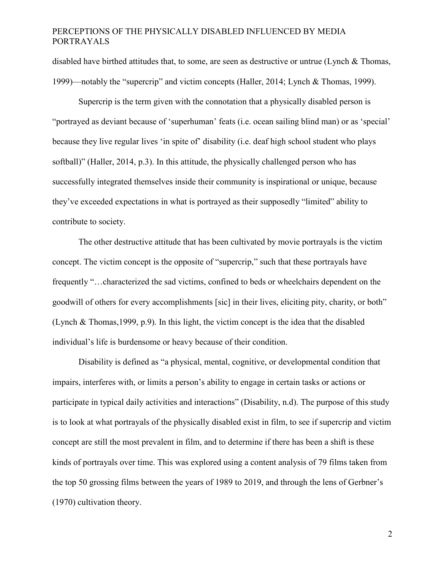disabled have birthed attitudes that, to some, are seen as destructive or untrue (Lynch & Thomas, 1999)—notably the "supercrip" and victim concepts (Haller, 2014; Lynch & Thomas, 1999).

Supercrip is the term given with the connotation that a physically disabled person is "portrayed as deviant because of 'superhuman' feats (i.e. ocean sailing blind man) or as 'special' because they live regular lives 'in spite of' disability (i.e. deaf high school student who plays softball)" (Haller, 2014, p.3). In this attitude, the physically challenged person who has successfully integrated themselves inside their community is inspirational or unique, because they've exceeded expectations in what is portrayed as their supposedly "limited" ability to contribute to society.

The other destructive attitude that has been cultivated by movie portrayals is the victim concept. The victim concept is the opposite of "supercrip," such that these portrayals have frequently "…characterized the sad victims, confined to beds or wheelchairs dependent on the goodwill of others for every accomplishments [sic] in their lives, eliciting pity, charity, or both" (Lynch & Thomas,1999, p.9). In this light, the victim concept is the idea that the disabled individual's life is burdensome or heavy because of their condition.

Disability is defined as "a physical, mental, cognitive, or developmental condition that impairs, interferes with, or limits a person's ability to engage in certain tasks or actions or participate in typical daily activities and interactions" (Disability, n.d). The purpose of this study is to look at what portrayals of the physically disabled exist in film, to see if supercrip and victim concept are still the most prevalent in film, and to determine if there has been a shift is these kinds of portrayals over time. This was explored using a content analysis of 79 films taken from the top 50 grossing films between the years of 1989 to 2019, and through the lens of Gerbner's (1970) cultivation theory.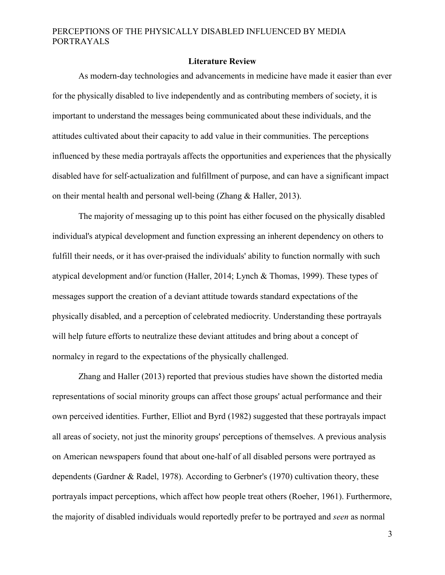#### **Literature Review**

<span id="page-9-0"></span>As modern-day technologies and advancements in medicine have made it easier than ever for the physically disabled to live independently and as contributing members of society, it is important to understand the messages being communicated about these individuals, and the attitudes cultivated about their capacity to add value in their communities. The perceptions influenced by these media portrayals affects the opportunities and experiences that the physically disabled have for self-actualization and fulfillment of purpose, and can have a significant impact on their mental health and personal well-being (Zhang & Haller, 2013).

The majority of messaging up to this point has either focused on the physically disabled individual's atypical development and function expressing an inherent dependency on others to fulfill their needs, or it has over-praised the individuals' ability to function normally with such atypical development and/or function (Haller, 2014; Lynch & Thomas, 1999). These types of messages support the creation of a deviant attitude towards standard expectations of the physically disabled, and a perception of celebrated mediocrity. Understanding these portrayals will help future efforts to neutralize these deviant attitudes and bring about a concept of normalcy in regard to the expectations of the physically challenged.

Zhang and Haller (2013) reported that previous studies have shown the distorted media representations of social minority groups can affect those groups' actual performance and their own perceived identities. Further, Elliot and Byrd (1982) suggested that these portrayals impact all areas of society, not just the minority groups' perceptions of themselves. A previous analysis on American newspapers found that about one-half of all disabled persons were portrayed as dependents (Gardner & Radel, 1978). According to Gerbner's (1970) cultivation theory, these portrayals impact perceptions, which affect how people treat others (Roeher, 1961). Furthermore, the majority of disabled individuals would reportedly prefer to be portrayed and *seen* as normal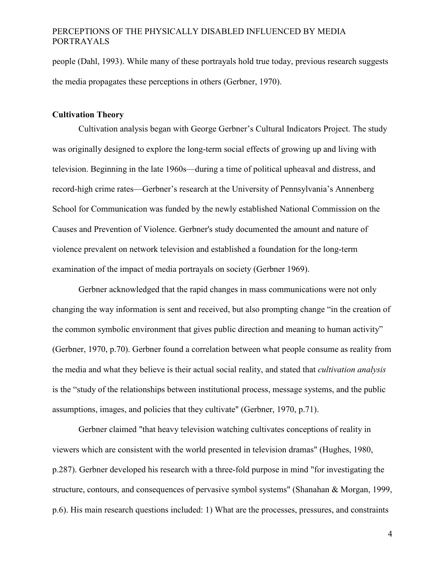people (Dahl, 1993). While many of these portrayals hold true today, previous research suggests the media propagates these perceptions in others (Gerbner, 1970).

#### <span id="page-10-0"></span>**Cultivation Theory**

Cultivation analysis began with George Gerbner's Cultural Indicators Project. The study was originally designed to explore the long-term social effects of growing up and living with television. Beginning in the late 1960s—during a time of political upheaval and distress, and record-high crime rates—Gerbner's research at the University of Pennsylvania's Annenberg School for Communication was funded by the newly established National Commission on the Causes and Prevention of Violence. Gerbner's study documented the amount and nature of violence prevalent on network television and established a foundation for the long-term examination of the impact of media portrayals on society (Gerbner 1969).

Gerbner acknowledged that the rapid changes in mass communications were not only changing the way information is sent and received, but also prompting change "in the creation of the common symbolic environment that gives public direction and meaning to human activity" (Gerbner, 1970, p.70). Gerbner found a correlation between what people consume as reality from the media and what they believe is their actual social reality, and stated that *cultivation analysis* is the "study of the relationships between institutional process, message systems, and the public assumptions, images, and policies that they cultivate" (Gerbner, 1970, p.71).

Gerbner claimed "that heavy television watching cultivates conceptions of reality in viewers which are consistent with the world presented in television dramas" (Hughes, 1980, p.287). Gerbner developed his research with a three-fold purpose in mind "for investigating the structure, contours, and consequences of pervasive symbol systems" (Shanahan & Morgan, 1999, p.6). His main research questions included: 1) What are the processes, pressures, and constraints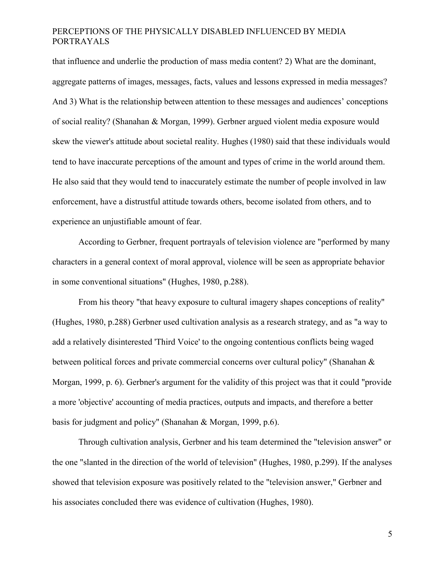that influence and underlie the production of mass media content? 2) What are the dominant, aggregate patterns of images, messages, facts, values and lessons expressed in media messages? And 3) What is the relationship between attention to these messages and audiences' conceptions of social reality? (Shanahan & Morgan, 1999). Gerbner argued violent media exposure would skew the viewer's attitude about societal reality. Hughes (1980) said that these individuals would tend to have inaccurate perceptions of the amount and types of crime in the world around them. He also said that they would tend to inaccurately estimate the number of people involved in law enforcement, have a distrustful attitude towards others, become isolated from others, and to experience an unjustifiable amount of fear.

According to Gerbner, frequent portrayals of television violence are "performed by many characters in a general context of moral approval, violence will be seen as appropriate behavior in some conventional situations" (Hughes, 1980, p.288).

From his theory "that heavy exposure to cultural imagery shapes conceptions of reality" (Hughes, 1980, p.288) Gerbner used cultivation analysis as a research strategy, and as "a way to add a relatively disinterested 'Third Voice' to the ongoing contentious conflicts being waged between political forces and private commercial concerns over cultural policy" (Shanahan & Morgan, 1999, p. 6). Gerbner's argument for the validity of this project was that it could "provide a more 'objective' accounting of media practices, outputs and impacts, and therefore a better basis for judgment and policy" (Shanahan & Morgan, 1999, p.6).

Through cultivation analysis, Gerbner and his team determined the "television answer" or the one "slanted in the direction of the world of television" (Hughes, 1980, p.299). If the analyses showed that television exposure was positively related to the "television answer," Gerbner and his associates concluded there was evidence of cultivation (Hughes, 1980).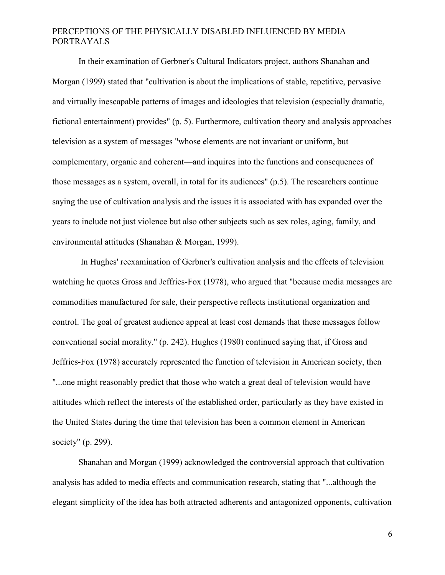In their examination of Gerbner's Cultural Indicators project, authors Shanahan and Morgan (1999) stated that "cultivation is about the implications of stable, repetitive, pervasive and virtually inescapable patterns of images and ideologies that television (especially dramatic, fictional entertainment) provides" (p. 5). Furthermore, cultivation theory and analysis approaches television as a system of messages "whose elements are not invariant or uniform, but complementary, organic and coherent—and inquires into the functions and consequences of those messages as a system, overall, in total for its audiences" (p.5). The researchers continue saying the use of cultivation analysis and the issues it is associated with has expanded over the years to include not just violence but also other subjects such as sex roles, aging, family, and environmental attitudes (Shanahan & Morgan, 1999).

In Hughes' reexamination of Gerbner's cultivation analysis and the effects of television watching he quotes Gross and Jeffries-Fox (1978), who argued that "because media messages are commodities manufactured for sale, their perspective reflects institutional organization and control. The goal of greatest audience appeal at least cost demands that these messages follow conventional social morality." (p. 242). Hughes (1980) continued saying that, if Gross and Jeffries-Fox (1978) accurately represented the function of television in American society, then "...one might reasonably predict that those who watch a great deal of television would have attitudes which reflect the interests of the established order, particularly as they have existed in the United States during the time that television has been a common element in American society" (p. 299).

Shanahan and Morgan (1999) acknowledged the controversial approach that cultivation analysis has added to media effects and communication research, stating that "...although the elegant simplicity of the idea has both attracted adherents and antagonized opponents, cultivation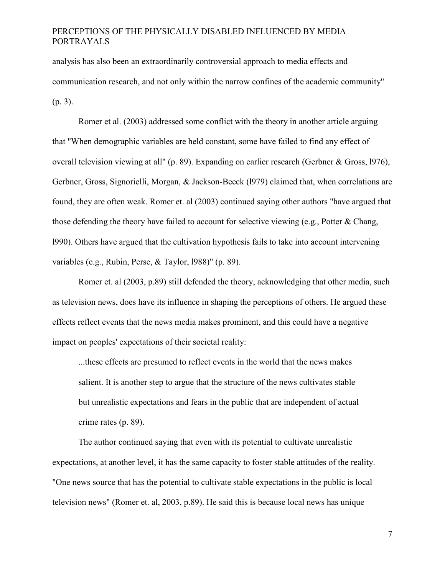analysis has also been an extraordinarily controversial approach to media effects and communication research, and not only within the narrow confines of the academic community" (p. 3).

Romer et al. (2003) addressed some conflict with the theory in another article arguing that "When demographic variables are held constant, some have failed to find any effect of overall television viewing at all" (p. 89). Expanding on earlier research (Gerbner & Gross, l976), Gerbner, Gross, Signorielli, Morgan, & Jackson-Beeck (l979) claimed that, when correlations are found, they are often weak. Romer et. al (2003) continued saying other authors "have argued that those defending the theory have failed to account for selective viewing (e.g., Potter & Chang, l990). Others have argued that the cultivation hypothesis fails to take into account intervening variables (e.g., Rubin, Perse, & Taylor, l988)" (p. 89).

Romer et. al (2003, p.89) still defended the theory, acknowledging that other media, such as television news, does have its influence in shaping the perceptions of others. He argued these effects reflect events that the news media makes prominent, and this could have a negative impact on peoples' expectations of their societal reality:

...these effects are presumed to reflect events in the world that the news makes salient. It is another step to argue that the structure of the news cultivates stable but unrealistic expectations and fears in the public that are independent of actual crime rates (p. 89).

The author continued saying that even with its potential to cultivate unrealistic expectations, at another level, it has the same capacity to foster stable attitudes of the reality. "One news source that has the potential to cultivate stable expectations in the public is local television news" (Romer et. al, 2003, p.89). He said this is because local news has unique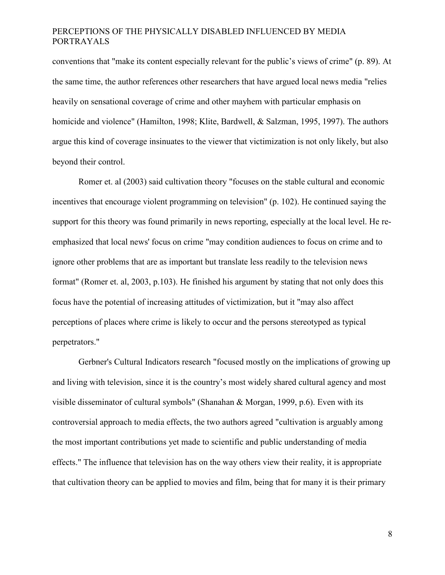conventions that "make its content especially relevant for the public's views of crime" (p. 89). At the same time, the author references other researchers that have argued local news media "relies heavily on sensational coverage of crime and other mayhem with particular emphasis on homicide and violence" (Hamilton, 1998; Klite, Bardwell, & Salzman, 1995, 1997). The authors argue this kind of coverage insinuates to the viewer that victimization is not only likely, but also beyond their control.

Romer et. al (2003) said cultivation theory "focuses on the stable cultural and economic incentives that encourage violent programming on television" (p. 102). He continued saying the support for this theory was found primarily in news reporting, especially at the local level. He reemphasized that local news' focus on crime "may condition audiences to focus on crime and to ignore other problems that are as important but translate less readily to the television news format" (Romer et. al, 2003, p.103). He finished his argument by stating that not only does this focus have the potential of increasing attitudes of victimization, but it "may also affect perceptions of places where crime is likely to occur and the persons stereotyped as typical perpetrators."

Gerbner's Cultural Indicators research "focused mostly on the implications of growing up and living with television, since it is the country's most widely shared cultural agency and most visible disseminator of cultural symbols" (Shanahan & Morgan, 1999, p.6). Even with its controversial approach to media effects, the two authors agreed "cultivation is arguably among the most important contributions yet made to scientific and public understanding of media effects." The influence that television has on the way others view their reality, it is appropriate that cultivation theory can be applied to movies and film, being that for many it is their primary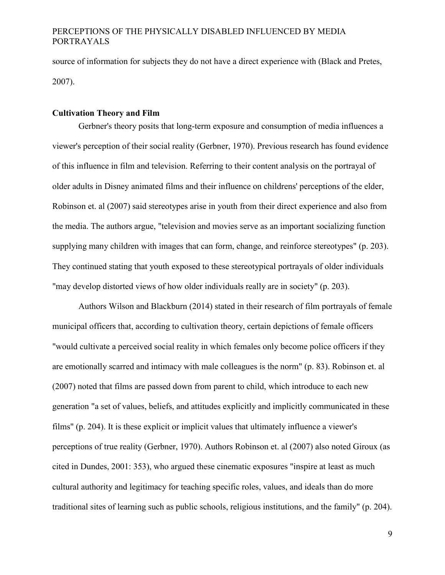source of information for subjects they do not have a direct experience with (Black and Pretes, 2007).

### <span id="page-15-0"></span>**Cultivation Theory and Film**

Gerbner's theory posits that long-term exposure and consumption of media influences a viewer's perception of their social reality (Gerbner, 1970). Previous research has found evidence of this influence in film and television. Referring to their content analysis on the portrayal of older adults in Disney animated films and their influence on childrens' perceptions of the elder, Robinson et. al (2007) said stereotypes arise in youth from their direct experience and also from the media. The authors argue, "television and movies serve as an important socializing function supplying many children with images that can form, change, and reinforce stereotypes" (p. 203). They continued stating that youth exposed to these stereotypical portrayals of older individuals "may develop distorted views of how older individuals really are in society" (p. 203).

Authors Wilson and Blackburn (2014) stated in their research of film portrayals of female municipal officers that, according to cultivation theory, certain depictions of female officers "would cultivate a perceived social reality in which females only become police officers if they are emotionally scarred and intimacy with male colleagues is the norm" (p. 83). Robinson et. al (2007) noted that films are passed down from parent to child, which introduce to each new generation "a set of values, beliefs, and attitudes explicitly and implicitly communicated in these films" (p. 204). It is these explicit or implicit values that ultimately influence a viewer's perceptions of true reality (Gerbner, 1970). Authors Robinson et. al (2007) also noted Giroux (as cited in Dundes, 2001: 353), who argued these cinematic exposures "inspire at least as much cultural authority and legitimacy for teaching specific roles, values, and ideals than do more traditional sites of learning such as public schools, religious institutions, and the family" (p. 204).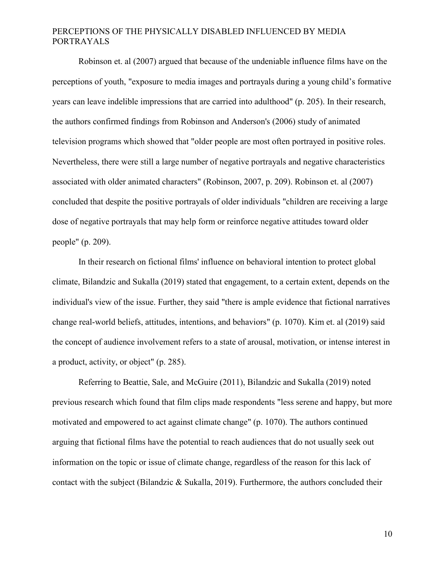Robinson et. al (2007) argued that because of the undeniable influence films have on the perceptions of youth, "exposure to media images and portrayals during a young child's formative years can leave indelible impressions that are carried into adulthood" (p. 205). In their research, the authors confirmed findings from Robinson and Anderson's (2006) study of animated television programs which showed that "older people are most often portrayed in positive roles. Nevertheless, there were still a large number of negative portrayals and negative characteristics associated with older animated characters" (Robinson, 2007, p. 209). Robinson et. al (2007) concluded that despite the positive portrayals of older individuals "children are receiving a large dose of negative portrayals that may help form or reinforce negative attitudes toward older people" (p. 209).

In their research on fictional films' influence on behavioral intention to protect global climate, Bilandzic and Sukalla (2019) stated that engagement, to a certain extent, depends on the individual's view of the issue. Further, they said "there is ample evidence that fictional narratives change real-world beliefs, attitudes, intentions, and behaviors" (p. 1070). Kim et. al (2019) said the concept of audience involvement refers to a state of arousal, motivation, or intense interest in a product, activity, or object" (p. 285).

Referring to Beattie, Sale, and McGuire (2011), Bilandzic and Sukalla (2019) noted previous research which found that film clips made respondents "less serene and happy, but more motivated and empowered to act against climate change" (p. 1070). The authors continued arguing that fictional films have the potential to reach audiences that do not usually seek out information on the topic or issue of climate change, regardless of the reason for this lack of contact with the subject (Bilandzic & Sukalla, 2019). Furthermore, the authors concluded their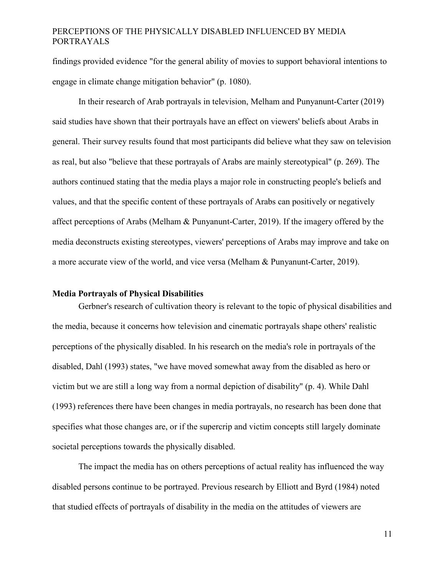findings provided evidence "for the general ability of movies to support behavioral intentions to engage in climate change mitigation behavior" (p. 1080).

In their research of Arab portrayals in television, Melham and Punyanunt-Carter (2019) said studies have shown that their portrayals have an effect on viewers' beliefs about Arabs in general. Their survey results found that most participants did believe what they saw on television as real, but also "believe that these portrayals of Arabs are mainly stereotypical" (p. 269). The authors continued stating that the media plays a major role in constructing people's beliefs and values, and that the specific content of these portrayals of Arabs can positively or negatively affect perceptions of Arabs (Melham & Punyanunt-Carter, 2019). If the imagery offered by the media deconstructs existing stereotypes, viewers' perceptions of Arabs may improve and take on a more accurate view of the world, and vice versa (Melham & Punyanunt-Carter, 2019).

#### <span id="page-17-0"></span>**Media Portrayals of Physical Disabilities**

Gerbner's research of cultivation theory is relevant to the topic of physical disabilities and the media, because it concerns how television and cinematic portrayals shape others' realistic perceptions of the physically disabled. In his research on the media's role in portrayals of the disabled, Dahl (1993) states, "we have moved somewhat away from the disabled as hero or victim but we are still a long way from a normal depiction of disability" (p. 4). While Dahl (1993) references there have been changes in media portrayals, no research has been done that specifies what those changes are, or if the supercrip and victim concepts still largely dominate societal perceptions towards the physically disabled.

The impact the media has on others perceptions of actual reality has influenced the way disabled persons continue to be portrayed. Previous research by Elliott and Byrd (1984) noted that studied effects of portrayals of disability in the media on the attitudes of viewers are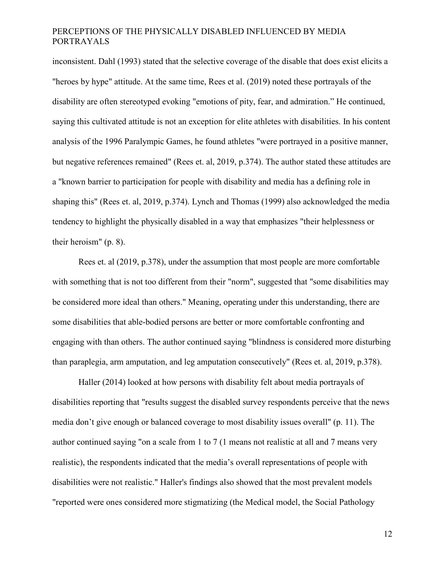inconsistent. Dahl (1993) stated that the selective coverage of the disable that does exist elicits a "heroes by hype" attitude. At the same time, Rees et al. (2019) noted these portrayals of the disability are often stereotyped evoking "emotions of pity, fear, and admiration." He continued, saying this cultivated attitude is not an exception for elite athletes with disabilities. In his content analysis of the 1996 Paralympic Games, he found athletes "were portrayed in a positive manner, but negative references remained" (Rees et. al, 2019, p.374). The author stated these attitudes are a "known barrier to participation for people with disability and media has a defining role in shaping this" (Rees et. al, 2019, p.374). Lynch and Thomas (1999) also acknowledged the media tendency to highlight the physically disabled in a way that emphasizes "their helplessness or their heroism" (p. 8).

Rees et. al (2019, p.378), under the assumption that most people are more comfortable with something that is not too different from their "norm", suggested that "some disabilities may be considered more ideal than others." Meaning, operating under this understanding, there are some disabilities that able-bodied persons are better or more comfortable confronting and engaging with than others. The author continued saying "blindness is considered more disturbing than paraplegia, arm amputation, and leg amputation consecutively" (Rees et. al, 2019, p.378).

Haller (2014) looked at how persons with disability felt about media portrayals of disabilities reporting that "results suggest the disabled survey respondents perceive that the news media don't give enough or balanced coverage to most disability issues overall" (p. 11). The author continued saying "on a scale from 1 to 7 (1 means not realistic at all and 7 means very realistic), the respondents indicated that the media's overall representations of people with disabilities were not realistic." Haller's findings also showed that the most prevalent models "reported were ones considered more stigmatizing (the Medical model, the Social Pathology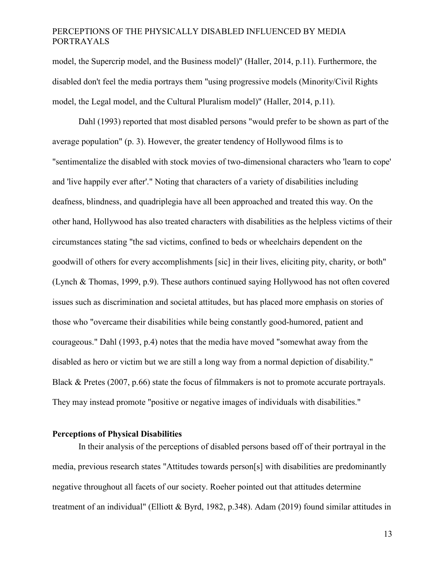model, the Supercrip model, and the Business model)" (Haller, 2014, p.11). Furthermore, the disabled don't feel the media portrays them "using progressive models (Minority/Civil Rights model, the Legal model, and the Cultural Pluralism model)" (Haller, 2014, p.11).

Dahl (1993) reported that most disabled persons "would prefer to be shown as part of the average population" (p. 3). However, the greater tendency of Hollywood films is to "sentimentalize the disabled with stock movies of two-dimensional characters who 'learn to cope' and 'live happily ever after'." Noting that characters of a variety of disabilities including deafness, blindness, and quadriplegia have all been approached and treated this way. On the other hand, Hollywood has also treated characters with disabilities as the helpless victims of their circumstances stating "the sad victims, confined to beds or wheelchairs dependent on the goodwill of others for every accomplishments [sic] in their lives, eliciting pity, charity, or both" (Lynch & Thomas, 1999, p.9). These authors continued saying Hollywood has not often covered issues such as discrimination and societal attitudes, but has placed more emphasis on stories of those who "overcame their disabilities while being constantly good-humored, patient and courageous." Dahl (1993, p.4) notes that the media have moved "somewhat away from the disabled as hero or victim but we are still a long way from a normal depiction of disability." Black & Pretes (2007, p.66) state the focus of filmmakers is not to promote accurate portrayals. They may instead promote "positive or negative images of individuals with disabilities."

#### <span id="page-19-0"></span>**Perceptions of Physical Disabilities**

In their analysis of the perceptions of disabled persons based off of their portrayal in the media, previous research states "Attitudes towards person[s] with disabilities are predominantly negative throughout all facets of our society. Roeher pointed out that attitudes determine treatment of an individual" (Elliott & Byrd, 1982, p.348). Adam (2019) found similar attitudes in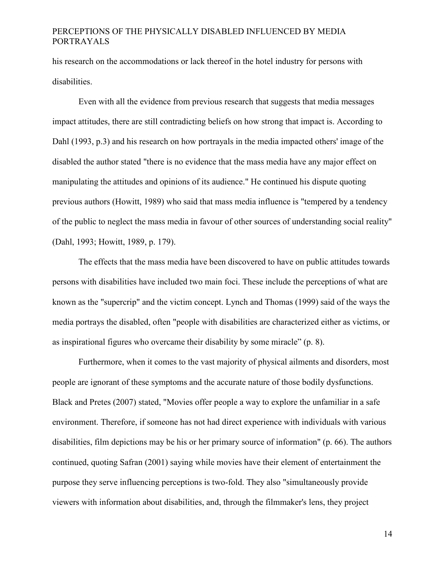his research on the accommodations or lack thereof in the hotel industry for persons with disabilities.

Even with all the evidence from previous research that suggests that media messages impact attitudes, there are still contradicting beliefs on how strong that impact is. According to Dahl (1993, p.3) and his research on how portrayals in the media impacted others' image of the disabled the author stated "there is no evidence that the mass media have any major effect on manipulating the attitudes and opinions of its audience." He continued his dispute quoting previous authors (Howitt, 1989) who said that mass media influence is "tempered by a tendency of the public to neglect the mass media in favour of other sources of understanding social reality" (Dahl, 1993; Howitt, 1989, p. 179).

The effects that the mass media have been discovered to have on public attitudes towards persons with disabilities have included two main foci. These include the perceptions of what are known as the "supercrip" and the victim concept. Lynch and Thomas (1999) said of the ways the media portrays the disabled, often "people with disabilities are characterized either as victims, or as inspirational figures who overcame their disability by some miracle" (p. 8).

Furthermore, when it comes to the vast majority of physical ailments and disorders, most people are ignorant of these symptoms and the accurate nature of those bodily dysfunctions. Black and Pretes (2007) stated, "Movies offer people a way to explore the unfamiliar in a safe environment. Therefore, if someone has not had direct experience with individuals with various disabilities, film depictions may be his or her primary source of information" (p. 66). The authors continued, quoting Safran (2001) saying while movies have their element of entertainment the purpose they serve influencing perceptions is two-fold. They also "simultaneously provide viewers with information about disabilities, and, through the filmmaker's lens, they project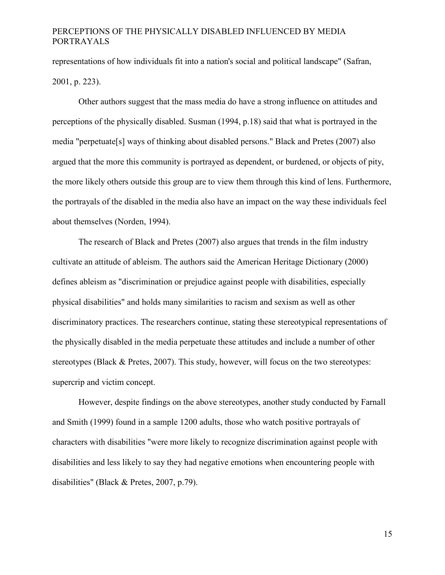representations of how individuals fit into a nation's social and political landscape" (Safran, 2001, p. 223).

Other authors suggest that the mass media do have a strong influence on attitudes and perceptions of the physically disabled. Susman (1994, p.18) said that what is portrayed in the media "perpetuate[s] ways of thinking about disabled persons." Black and Pretes (2007) also argued that the more this community is portrayed as dependent, or burdened, or objects of pity, the more likely others outside this group are to view them through this kind of lens. Furthermore, the portrayals of the disabled in the media also have an impact on the way these individuals feel about themselves (Norden, 1994).

The research of Black and Pretes (2007) also argues that trends in the film industry cultivate an attitude of ableism. The authors said the American Heritage Dictionary (2000) defines ableism as "discrimination or prejudice against people with disabilities, especially physical disabilities" and holds many similarities to racism and sexism as well as other discriminatory practices. The researchers continue, stating these stereotypical representations of the physically disabled in the media perpetuate these attitudes and include a number of other stereotypes (Black & Pretes, 2007). This study, however, will focus on the two stereotypes: supercrip and victim concept.

However, despite findings on the above stereotypes, another study conducted by Farnall and Smith (1999) found in a sample 1200 adults, those who watch positive portrayals of characters with disabilities "were more likely to recognize discrimination against people with disabilities and less likely to say they had negative emotions when encountering people with disabilities" (Black & Pretes, 2007, p.79).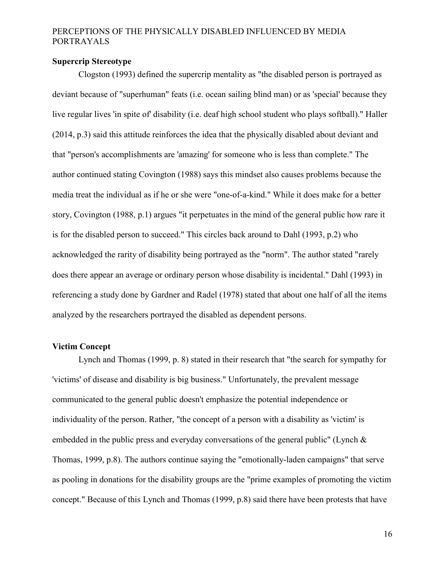### <span id="page-22-0"></span>**Supercrip Stereotype**

Clogston (1993) defined the supercrip mentality as "the disabled person is portrayed as deviant because of "superhuman" feats (i.e. ocean sailing blind man) or as 'special' because they live regular lives 'in spite of' disability (i.e. deaf high school student who plays softball)." Haller (2014, p.3) said this attitude reinforces the idea that the physically disabled about deviant and that "person's accomplishments are 'amazing' for someone who is less than complete." The author continued stating Covington (1988) says this mindset also causes problems because the media treat the individual as if he or she were "one-of-a-kind." While it does make for a better story, Covington (1988, p.1) argues "it perpetuates in the mind of the general public how rare it is for the disabled person to succeed." This circles back around to Dahl (1993, p.2) who acknowledged the rarity of disability being portrayed as the "norm". The author stated "rarely does there appear an average or ordinary person whose disability is incidental." Dahl (1993) in referencing a study done by Gardner and Radel (1978) stated that about one half of all the items analyzed by the researchers portrayed the disabled as dependent persons.

#### <span id="page-22-1"></span>**Victim Concept**

Lynch and Thomas (1999, p. 8) stated in their research that "the search for sympathy for 'victims' of disease and disability is big business." Unfortunately, the prevalent message communicated to the general public doesn't emphasize the potential independence or individuality of the person. Rather, "the concept of a person with a disability as 'victim' is embedded in the public press and everyday conversations of the general public" (Lynch & Thomas, 1999, p.8). The authors continue saying the "emotionally-laden campaigns" that serve as pooling in donations for the disability groups are the "prime examples of promoting the victim concept." Because of this Lynch and Thomas (1999, p.8) said there have been protests that have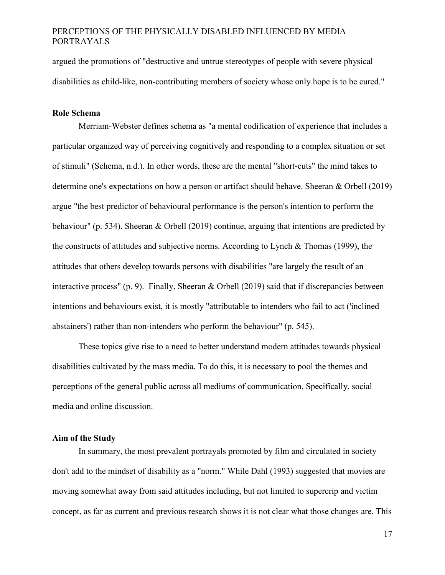argued the promotions of "destructive and untrue stereotypes of people with severe physical disabilities as child-like, non-contributing members of society whose only hope is to be cured."

### <span id="page-23-0"></span>**Role Schema**

Merriam-Webster defines schema as "a mental codification of experience that includes a particular organized way of perceiving cognitively and responding to a complex situation or set of stimuli" (Schema, n.d.). In other words, these are the mental "short-cuts" the mind takes to determine one's expectations on how a person or artifact should behave. Sheeran & Orbell (2019) argue "the best predictor of behavioural performance is the person's intention to perform the behaviour" (p. 534). Sheeran & Orbell (2019) continue, arguing that intentions are predicted by the constructs of attitudes and subjective norms. According to Lynch & Thomas (1999), the attitudes that others develop towards persons with disabilities "are largely the result of an interactive process" (p. 9). Finally, Sheeran & Orbell (2019) said that if discrepancies between intentions and behaviours exist, it is mostly "attributable to intenders who fail to act ('inclined abstainers') rather than non-intenders who perform the behaviour" (p. 545).

These topics give rise to a need to better understand modern attitudes towards physical disabilities cultivated by the mass media. To do this, it is necessary to pool the themes and perceptions of the general public across all mediums of communication. Specifically, social media and online discussion.

#### <span id="page-23-1"></span>**Aim of the Study**

In summary, the most prevalent portrayals promoted by film and circulated in society don't add to the mindset of disability as a "norm." While Dahl (1993) suggested that movies are moving somewhat away from said attitudes including, but not limited to supercrip and victim concept, as far as current and previous research shows it is not clear what those changes are. This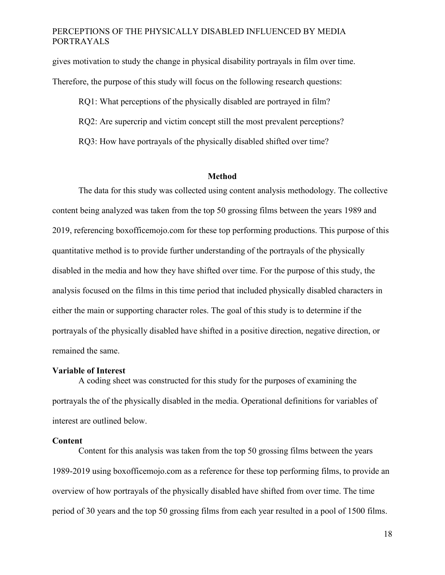gives motivation to study the change in physical disability portrayals in film over time. Therefore, the purpose of this study will focus on the following research questions:

RQ1: What perceptions of the physically disabled are portrayed in film? RQ2: Are supercrip and victim concept still the most prevalent perceptions? RQ3: How have portrayals of the physically disabled shifted over time?

#### **Method**

<span id="page-24-0"></span>The data for this study was collected using content analysis methodology. The collective content being analyzed was taken from the top 50 grossing films between the years 1989 and 2019, referencing boxofficemojo.com for these top performing productions. This purpose of this quantitative method is to provide further understanding of the portrayals of the physically disabled in the media and how they have shifted over time. For the purpose of this study, the analysis focused on the films in this time period that included physically disabled characters in either the main or supporting character roles. The goal of this study is to determine if the portrayals of the physically disabled have shifted in a positive direction, negative direction, or remained the same.

#### **Variable of Interest**

A coding sheet was constructed for this study for the purposes of examining the portrayals the of the physically disabled in the media. Operational definitions for variables of interest are outlined below.

#### **Content**

Content for this analysis was taken from the top 50 grossing films between the years 1989-2019 using boxofficemojo.com as a reference for these top performing films, to provide an overview of how portrayals of the physically disabled have shifted from over time. The time period of 30 years and the top 50 grossing films from each year resulted in a pool of 1500 films.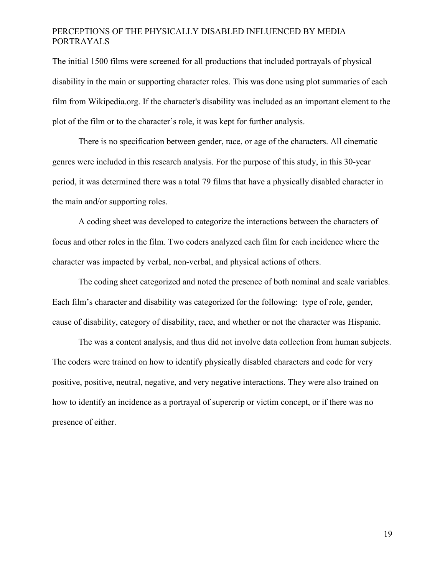The initial 1500 films were screened for all productions that included portrayals of physical disability in the main or supporting character roles. This was done using plot summaries of each film from Wikipedia.org. If the character's disability was included as an important element to the plot of the film or to the character's role, it was kept for further analysis.

There is no specification between gender, race, or age of the characters. All cinematic genres were included in this research analysis. For the purpose of this study, in this 30-year period, it was determined there was a total 79 films that have a physically disabled character in the main and/or supporting roles.

A coding sheet was developed to categorize the interactions between the characters of focus and other roles in the film. Two coders analyzed each film for each incidence where the character was impacted by verbal, non-verbal, and physical actions of others.

The coding sheet categorized and noted the presence of both nominal and scale variables. Each film's character and disability was categorized for the following: type of role, gender, cause of disability, category of disability, race, and whether or not the character was Hispanic.

The was a content analysis, and thus did not involve data collection from human subjects. The coders were trained on how to identify physically disabled characters and code for very positive, positive, neutral, negative, and very negative interactions. They were also trained on how to identify an incidence as a portrayal of supercrip or victim concept, or if there was no presence of either.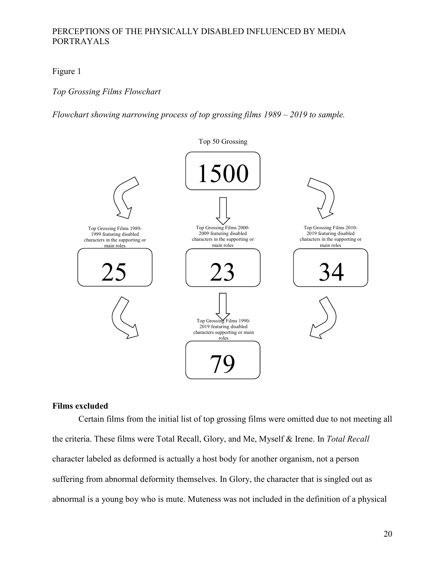<span id="page-26-1"></span>Figure 1

*Top Grossing Films Flowchart*

*Flowchart showing narrowing process of top grossing films 1989 – 2019 to sample.*



### <span id="page-26-0"></span>**Films excluded**

Certain films from the initial list of top grossing films were omitted due to not meeting all the criteria. These films were Total Recall, Glory, and Me, Myself & Irene. In *Total Recall* character labeled as deformed is actually a host body for another organism, not a person suffering from abnormal deformity themselves. In Glory, the character that is singled out as abnormal is a young boy who is mute. Muteness was not included in the definition of a physical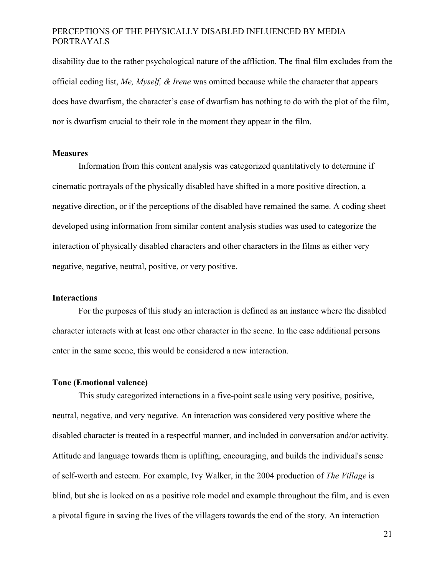disability due to the rather psychological nature of the affliction. The final film excludes from the official coding list, *Me, Myself, & Irene* was omitted because while the character that appears does have dwarfism, the character's case of dwarfism has nothing to do with the plot of the film, nor is dwarfism crucial to their role in the moment they appear in the film.

#### <span id="page-27-0"></span>**Measures**

Information from this content analysis was categorized quantitatively to determine if cinematic portrayals of the physically disabled have shifted in a more positive direction, a negative direction, or if the perceptions of the disabled have remained the same. A coding sheet developed using information from similar content analysis studies was used to categorize the interaction of physically disabled characters and other characters in the films as either very negative, negative, neutral, positive, or very positive.

#### <span id="page-27-1"></span>**Interactions**

For the purposes of this study an interaction is defined as an instance where the disabled character interacts with at least one other character in the scene. In the case additional persons enter in the same scene, this would be considered a new interaction.

#### <span id="page-27-2"></span>**Tone (Emotional valence)**

This study categorized interactions in a five-point scale using very positive, positive, neutral, negative, and very negative. An interaction was considered very positive where the disabled character is treated in a respectful manner, and included in conversation and/or activity. Attitude and language towards them is uplifting, encouraging, and builds the individual's sense of self-worth and esteem. For example, Ivy Walker, in the 2004 production of *The Village* is blind, but she is looked on as a positive role model and example throughout the film, and is even a pivotal figure in saving the lives of the villagers towards the end of the story. An interaction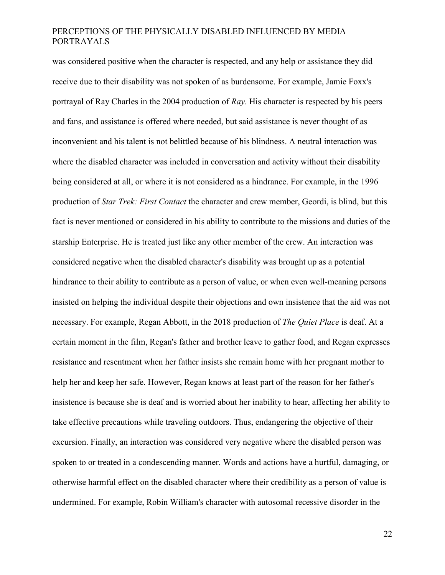was considered positive when the character is respected, and any help or assistance they did receive due to their disability was not spoken of as burdensome. For example, Jamie Foxx's portrayal of Ray Charles in the 2004 production of *Ray*. His character is respected by his peers and fans, and assistance is offered where needed, but said assistance is never thought of as inconvenient and his talent is not belittled because of his blindness. A neutral interaction was where the disabled character was included in conversation and activity without their disability being considered at all, or where it is not considered as a hindrance. For example, in the 1996 production of *Star Trek: First Contact* the character and crew member, Geordi, is blind, but this fact is never mentioned or considered in his ability to contribute to the missions and duties of the starship Enterprise. He is treated just like any other member of the crew. An interaction was considered negative when the disabled character's disability was brought up as a potential hindrance to their ability to contribute as a person of value, or when even well-meaning persons insisted on helping the individual despite their objections and own insistence that the aid was not necessary. For example, Regan Abbott, in the 2018 production of *The Quiet Place* is deaf. At a certain moment in the film, Regan's father and brother leave to gather food, and Regan expresses resistance and resentment when her father insists she remain home with her pregnant mother to help her and keep her safe. However, Regan knows at least part of the reason for her father's insistence is because she is deaf and is worried about her inability to hear, affecting her ability to take effective precautions while traveling outdoors. Thus, endangering the objective of their excursion. Finally, an interaction was considered very negative where the disabled person was spoken to or treated in a condescending manner. Words and actions have a hurtful, damaging, or otherwise harmful effect on the disabled character where their credibility as a person of value is undermined. For example, Robin William's character with autosomal recessive disorder in the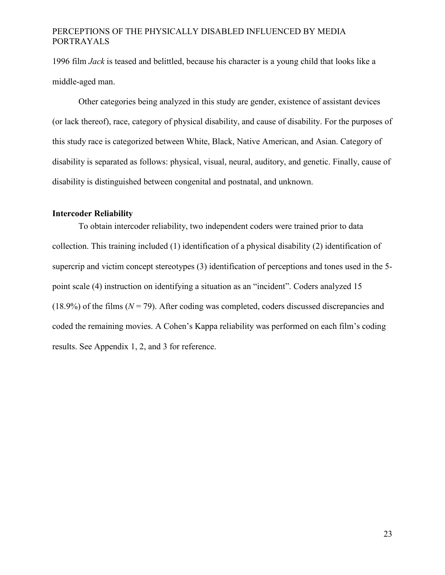1996 film *Jack* is teased and belittled, because his character is a young child that looks like a middle-aged man.

Other categories being analyzed in this study are gender, existence of assistant devices (or lack thereof), race, category of physical disability, and cause of disability. For the purposes of this study race is categorized between White, Black, Native American, and Asian. Category of disability is separated as follows: physical, visual, neural, auditory, and genetic. Finally, cause of disability is distinguished between congenital and postnatal, and unknown.

### <span id="page-29-0"></span>**Intercoder Reliability**

To obtain intercoder reliability, two independent coders were trained prior to data collection. This training included (1) identification of a physical disability (2) identification of supercrip and victim concept stereotypes (3) identification of perceptions and tones used in the 5 point scale (4) instruction on identifying a situation as an "incident". Coders analyzed 15 (18.9%) of the films  $(N = 79)$ . After coding was completed, coders discussed discrepancies and coded the remaining movies. A Cohen's Kappa reliability was performed on each film's coding results. See Appendix 1, 2, and 3 for reference.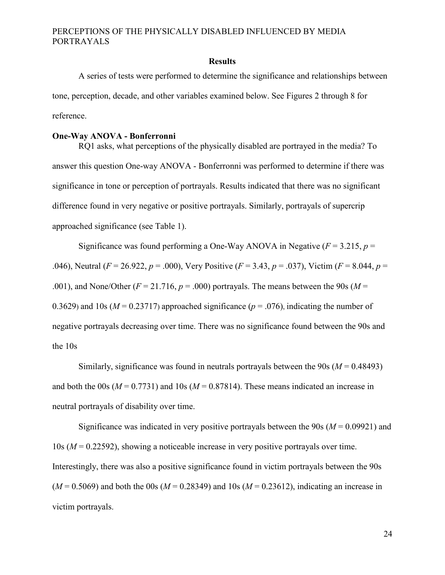#### **Results**

<span id="page-30-0"></span>A series of tests were performed to determine the significance and relationships between tone, perception, decade, and other variables examined below. See Figures 2 through 8 for reference.

### **One-Way ANOVA - Bonferronni**

RQ1 asks, what perceptions of the physically disabled are portrayed in the media? To answer this question One-way ANOVA - Bonferronni was performed to determine if there was significance in tone or perception of portrayals. Results indicated that there was no significant difference found in very negative or positive portrayals. Similarly, portrayals of supercrip approached significance (see Table 1).

Significance was found performing a One-Way ANOVA in Negative  $(F = 3.215, p =$ .046), Neutral (*F* = 26.922, *p* = .000), Very Positive (*F* = 3.43, *p* = .037), Victim (*F* = 8.044, *p* = .001), and None/Other  $(F = 21.716, p = .000)$  portrayals. The means between the 90s ( $M =$ 0.3629) and 10s ( $M = 0.23717$ ) approached significance ( $p = .076$ ), indicating the number of negative portrayals decreasing over time. There was no significance found between the 90s and the 10s

Similarly, significance was found in neutrals portrayals between the 90s (*M* = 0.48493) and both the 00s ( $M = 0.7731$ ) and 10s ( $M = 0.87814$ ). These means indicated an increase in neutral portrayals of disability over time.

Significance was indicated in very positive portrayals between the 90s (*M* = 0.09921) and 10s (*M* = 0.22592), showing a noticeable increase in very positive portrayals over time. Interestingly, there was also a positive significance found in victim portrayals between the 90s  $(M = 0.5069)$  and both the 00s  $(M = 0.28349)$  and 10s  $(M = 0.23612)$ , indicating an increase in victim portrayals.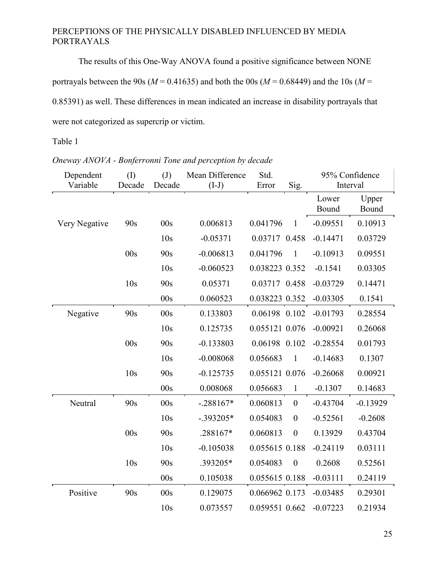The results of this One-Way ANOVA found a positive significance between NONE portrayals between the 90s ( $M = 0.41635$ ) and both the 00s ( $M = 0.68449$ ) and the 10s ( $M =$ 0.85391) as well. These differences in mean indicated an increase in disability portrayals that were not categorized as supercrip or victim.

## Table 1

## <span id="page-31-0"></span>*Oneway ANOVA - Bonferronni Tone and perception by decade*

| Dependent<br>Variable | (1)<br>Decade   | (J)<br>Decade   | Mean Difference | Std.<br>Error  |                  | Interval       | 95% Confidence |
|-----------------------|-----------------|-----------------|-----------------|----------------|------------------|----------------|----------------|
|                       |                 |                 | $(I-J)$         |                | Sig.             |                |                |
|                       |                 |                 |                 |                |                  | Lower<br>Bound | Upper<br>Bound |
| Very Negative         | 90s             | 00s             | 0.006813        | 0.041796       | $\mathbf{1}$     | $-0.09551$     | 0.10913        |
|                       |                 | 10 <sub>s</sub> | $-0.05371$      | 0.03717 0.458  |                  | $-0.14471$     | 0.03729        |
|                       | 00s             | 90s             | $-0.006813$     | 0.041796       | $\mathbf{1}$     | $-0.10913$     | 0.09551        |
|                       |                 | 10 <sub>s</sub> | $-0.060523$     | 0.038223 0.352 |                  | $-0.1541$      | 0.03305        |
|                       | 10 <sub>s</sub> | 90s             | 0.05371         | 0.03717 0.458  |                  | $-0.03729$     | 0.14471        |
|                       |                 | 00s             | 0.060523        | 0.038223 0.352 |                  | $-0.03305$     | 0.1541         |
| Negative              | 90s             | 00s             | 0.133803        | 0.06198 0.102  |                  | $-0.01793$     | 0.28554        |
|                       |                 | 10 <sub>s</sub> | 0.125735        | 0.055121 0.076 |                  | $-0.00921$     | 0.26068        |
|                       | 00s             | 90s             | $-0.133803$     | 0.06198 0.102  |                  | $-0.28554$     | 0.01793        |
|                       |                 | 10 <sub>s</sub> | $-0.008068$     | 0.056683       | $\mathbf{1}$     | $-0.14683$     | 0.1307         |
|                       | 10 <sub>s</sub> | 90s             | $-0.125735$     | 0.055121 0.076 |                  | $-0.26068$     | 0.00921        |
|                       |                 | 00s             | 0.008068        | 0.056683       | $\mathbf{1}$     | $-0.1307$      | 0.14683        |
| Neutral               | 90s             | 00s             | $-.288167*$     | 0.060813       | $\boldsymbol{0}$ | $-0.43704$     | $-0.13929$     |
|                       |                 | 10 <sub>s</sub> | $-.393205*$     | 0.054083       | $\boldsymbol{0}$ | $-0.52561$     | $-0.2608$      |
|                       | 00s             | 90s             | .288167*        | 0.060813       | $\boldsymbol{0}$ | 0.13929        | 0.43704        |
|                       |                 | 10 <sub>s</sub> | $-0.105038$     | 0.055615 0.188 |                  | $-0.24119$     | 0.03111        |
|                       | 10s             | 90s             | .393205*        | 0.054083       | $\boldsymbol{0}$ | 0.2608         | 0.52561        |
|                       |                 | 00s             | 0.105038        | 0.055615 0.188 |                  | $-0.03111$     | 0.24119        |
| Positive              | 90s             | 00s             | 0.129075        | 0.066962 0.173 |                  | $-0.03485$     | 0.29301        |
|                       |                 | 10 <sub>s</sub> | 0.073557        | 0.059551 0.662 |                  | $-0.07223$     | 0.21934        |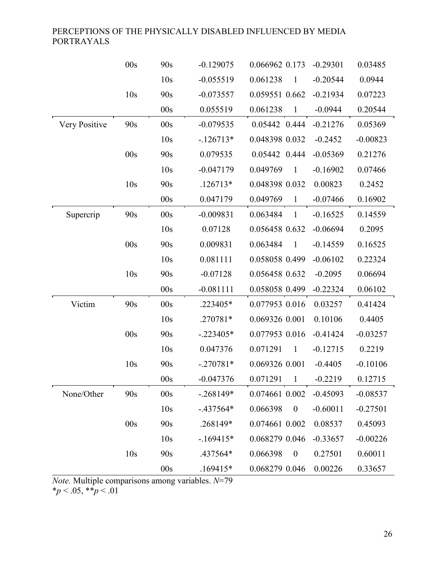|               | 00s             | 90s             | $-0.129075$ | 0.066962 0.173               | $-0.29301$ | 0.03485    |
|---------------|-----------------|-----------------|-------------|------------------------------|------------|------------|
|               |                 | 10s             | $-0.055519$ | 0.061238<br>1                | $-0.20544$ | 0.0944     |
|               | 10 <sub>s</sub> | 90s             | $-0.073557$ | 0.059551 0.662               | $-0.21934$ | 0.07223    |
|               |                 | 00s             | 0.055519    | 0.061238<br>$\mathbf{1}$     | $-0.0944$  | 0.20544    |
| Very Positive | 90s             | 00s             | $-0.079535$ | 0.05442 0.444                | $-0.21276$ | 0.05369    |
|               |                 | 10s             | $-126713*$  | 0.048398 0.032               | $-0.2452$  | $-0.00823$ |
|               | 00s             | 90s             | 0.079535    | 0.05442 0.444                | $-0.05369$ | 0.21276    |
|               |                 | 10 <sub>s</sub> | $-0.047179$ | 0.049769<br>$\mathbf{1}$     | $-0.16902$ | 0.07466    |
|               | 10 <sub>s</sub> | 90s             | $.126713*$  | 0.048398 0.032               | 0.00823    | 0.2452     |
|               |                 | 00s             | 0.047179    | 0.049769<br>1                | $-0.07466$ | 0.16902    |
| Supercrip     | 90s             | 00s             | $-0.009831$ | 0.063484<br>$\mathbf{1}$     | $-0.16525$ | 0.14559    |
|               |                 | 10s             | 0.07128     | 0.056458 0.632               | $-0.06694$ | 0.2095     |
|               | 00s             | 90s             | 0.009831    | 0.063484<br>$\mathbf{1}$     | $-0.14559$ | 0.16525    |
|               |                 | 10s             | 0.081111    | 0.058058 0.499               | $-0.06102$ | 0.22324    |
|               | 10 <sub>s</sub> | 90s             | $-0.07128$  | 0.056458 0.632               | $-0.2095$  | 0.06694    |
|               |                 | 00s             | $-0.081111$ | 0.058058 0.499               | $-0.22324$ | 0.06102    |
| Victim        | 90s             | 00s             | .223405*    | 0.077953 0.016               | 0.03257    | 0.41424    |
|               |                 | 10 <sub>s</sub> | .270781*    | 0.069326 0.001               | 0.10106    | 0.4405     |
|               | 00s             | 90s             | $-.223405*$ | 0.077953 0.016               | $-0.41424$ | $-0.03257$ |
|               |                 | 10 <sub>s</sub> | 0.047376    | 0.071291<br>$\mathbf{1}$     | $-0.12715$ | 0.2219     |
|               | 10 <sub>s</sub> | 90s             | $-.270781*$ | 0.069326 0.001               | $-0.4405$  | $-0.10106$ |
|               |                 | 00s             | $-0.047376$ | 0.071291<br>1                | $-0.2219$  | 0.12715    |
| None/Other    | 90s             | 00s             | $-.268149*$ | 0.074661 0.002               | $-0.45093$ | $-0.08537$ |
|               |                 | 10s             | $-.437564*$ | 0.066398<br>$\boldsymbol{0}$ | $-0.60011$ | $-0.27501$ |
|               | 00s             | 90s             | .268149*    | 0.074661 0.002               | 0.08537    | 0.45093    |
|               |                 | 10 <sub>s</sub> | $-169415*$  | 0.068279 0.046               | $-0.33657$ | $-0.00226$ |
|               | 10 <sub>s</sub> | 90s             | .437564*    | 0.066398<br>$\boldsymbol{0}$ | 0.27501    | 0.60011    |
|               |                 | 00s             | $.169415*$  | 0.068279 0.046               | 0.00226    | 0.33657    |

*Note.* Multiple comparisons among variables. *N*=79 \**p* < .05, \*\**p* < .01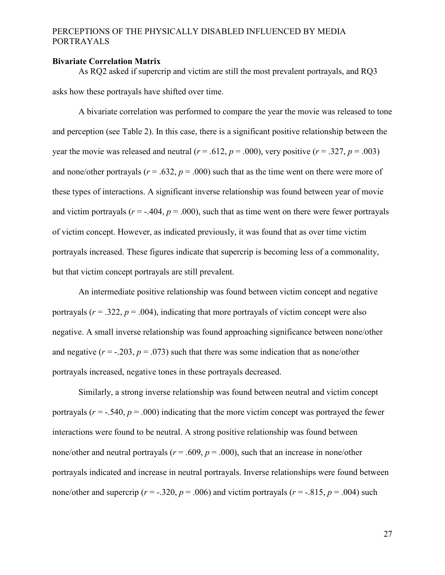#### **Bivariate Correlation Matrix**

As RQ2 asked if supercrip and victim are still the most prevalent portrayals, and RQ3 asks how these portrayals have shifted over time.

A bivariate correlation was performed to compare the year the movie was released to tone and perception (see Table 2). In this case, there is a significant positive relationship between the year the movie was released and neutral ( $r = .612$ ,  $p = .000$ ), very positive ( $r = .327$ ,  $p = .003$ ) and none/other portrayals ( $r = .632$ ,  $p = .000$ ) such that as the time went on there were more of these types of interactions. A significant inverse relationship was found between year of movie and victim portrayals ( $r = -.404$ ,  $p = .000$ ), such that as time went on there were fewer portrayals of victim concept. However, as indicated previously, it was found that as over time victim portrayals increased. These figures indicate that supercrip is becoming less of a commonality, but that victim concept portrayals are still prevalent.

An intermediate positive relationship was found between victim concept and negative portrayals  $(r = .322, p = .004)$ , indicating that more portrayals of victim concept were also negative. A small inverse relationship was found approaching significance between none/other and negative  $(r = -.203, p = .073)$  such that there was some indication that as none/other portrayals increased, negative tones in these portrayals decreased.

Similarly, a strong inverse relationship was found between neutral and victim concept portrayals  $(r = -.540, p = .000)$  indicating that the more victim concept was portrayed the fewer interactions were found to be neutral. A strong positive relationship was found between none/other and neutral portrayals ( $r = .609$ ,  $p = .000$ ), such that an increase in none/other portrayals indicated and increase in neutral portrayals. Inverse relationships were found between none/other and supercrip ( $r = -.320$ ,  $p = .006$ ) and victim portravals ( $r = -.815$ ,  $p = .004$ ) such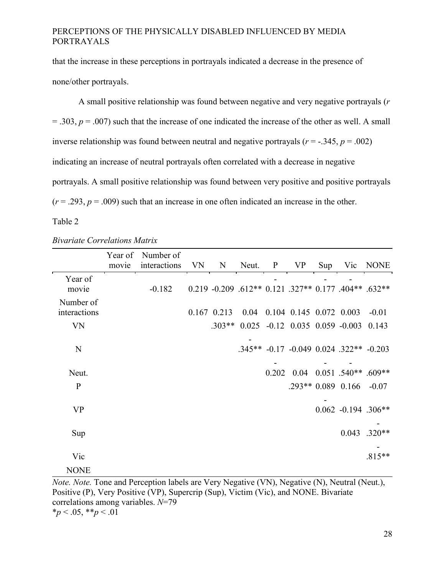that the increase in these perceptions in portrayals indicated a decrease in the presence of none/other portrayals.

A small positive relationship was found between negative and very negative portrayals (*r*   $=$  .303,  $p = .007$ ) such that the increase of one indicated the increase of the other as well. A small inverse relationship was found between neutral and negative portravals ( $r = -0.345$ ,  $p = 0.002$ ) indicating an increase of neutral portrayals often correlated with a decrease in negative portrayals. A small positive relationship was found between very positive and positive portrayals  $(r = .293, p = .009)$  such that an increase in one often indicated an increase in the other.

### <span id="page-34-0"></span>Table 2

|                           | movie | Year of Number of<br>interactions | VN | $\mathbf N$ |                                                                | Neut. P VP |  | Sup Vic NONE                            |
|---------------------------|-------|-----------------------------------|----|-------------|----------------------------------------------------------------|------------|--|-----------------------------------------|
| Year of<br>movie          |       | $-0.182$                          |    |             | $0.219 - 0.209 - 612** 0.121 - 327** 0.177 - 404** 0.632**$    |            |  |                                         |
| Number of<br>interactions |       |                                   |    |             | $0.167$ $0.213$ $0.04$ $0.104$ $0.145$ $0.072$ $0.003$ $-0.01$ |            |  |                                         |
| <b>VN</b>                 |       |                                   |    |             | $.303**$ 0.025 -0.12 0.035 0.059 -0.003 0.143                  |            |  |                                         |
| $\mathbf N$               |       |                                   |    |             |                                                                |            |  | .345** -0.17 -0.049 0.024 .322** -0.203 |
| Neut.                     |       |                                   |    |             |                                                                |            |  | $0.202$ 0.04 0.051 .540** .609**        |
| $\mathbf{P}$              |       |                                   |    |             |                                                                |            |  | $.293**0.089$ 0.166 -0.07               |
| <b>VP</b>                 |       |                                   |    |             |                                                                |            |  | $0.062 -0.194$ .306**                   |
| Sup                       |       |                                   |    |             |                                                                |            |  | $0.043$ .320**                          |
| Vic                       |       |                                   |    |             |                                                                |            |  | $.815**$                                |
| <b>NONE</b>               |       |                                   |    |             |                                                                |            |  |                                         |

*Bivariate Correlations Matrix*

*Note. Note.* Tone and Perception labels are Very Negative (VN), Negative (N), Neutral (Neut.), Positive (P), Very Positive (VP), Supercrip (Sup), Victim (Vic), and NONE. Bivariate correlations among variables. *N*=79  $*_p$  < .05,  $*_p$  < .01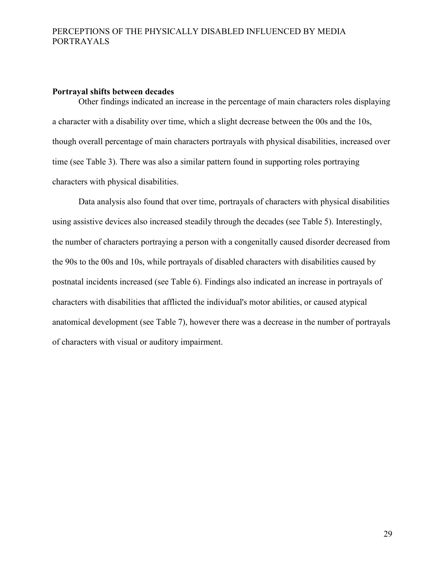#### **Portrayal shifts between decades**

Other findings indicated an increase in the percentage of main characters roles displaying a character with a disability over time, which a slight decrease between the 00s and the 10s, though overall percentage of main characters portrayals with physical disabilities, increased over time (see Table 3). There was also a similar pattern found in supporting roles portraying characters with physical disabilities.

Data analysis also found that over time, portrayals of characters with physical disabilities using assistive devices also increased steadily through the decades (see Table 5). Interestingly, the number of characters portraying a person with a congenitally caused disorder decreased from the 90s to the 00s and 10s, while portrayals of disabled characters with disabilities caused by postnatal incidents increased (see Table 6). Findings also indicated an increase in portrayals of characters with disabilities that afflicted the individual's motor abilities, or caused atypical anatomical development (see Table 7), however there was a decrease in the number of portrayals of characters with visual or auditory impairment.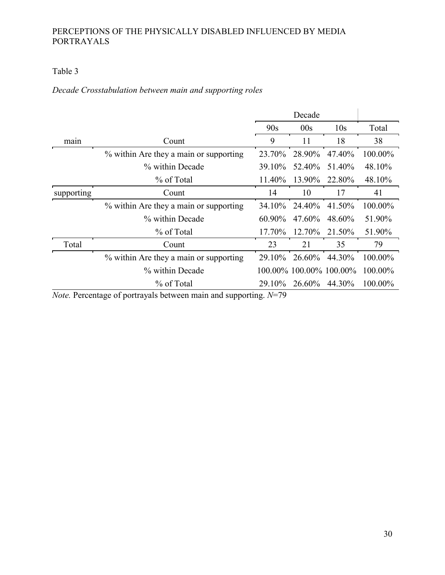## Table 3

## <span id="page-36-0"></span>*Decade Crosstabulation between main and supporting roles*

|                           |                                                                                                      |                                   | Decade |                         |         |
|---------------------------|------------------------------------------------------------------------------------------------------|-----------------------------------|--------|-------------------------|---------|
|                           |                                                                                                      | 90s                               | 00s    | 10 <sub>s</sub>         | Total   |
| main                      | Count                                                                                                | 9                                 | 11     | 18                      | 38      |
|                           | % within Are they a main or supporting                                                               | 23.70%                            | 28.90% | 47.40%                  | 100.00% |
|                           | % within Decade                                                                                      | 39.10%                            | 52.40% | 51.40%                  | 48.10%  |
|                           | % of Total                                                                                           | 11.40%                            | 13.90% | 22.80%                  | 48.10%  |
| supporting                | Count                                                                                                | 14                                | 10     | 17                      | 41      |
|                           | % within Are they a main or supporting                                                               | 34.10 <sup>%</sup>                | 24.40% | 41.50%                  | 100.00% |
|                           | % within Decade                                                                                      | 60.90%                            | 47.60% | 48.60%                  | 51.90%  |
|                           | % of Total                                                                                           | 17.70%                            | 12.70% | 21.50%                  | 51.90%  |
| Total                     | Count                                                                                                | 23                                | 21     | 35                      | 79      |
|                           | % within Are they a main or supporting                                                               | 29.10%                            | 26.60% | 44.30%                  | 100.00% |
|                           | % within Decade                                                                                      |                                   |        | 100.00% 100.00% 100.00% | 100.00% |
|                           | % of Total                                                                                           | 29.10%                            | 26.60% | 44.30%                  | 100.00% |
| $\mathbf{v}$ $\mathbf{v}$ | $\mathbf{r}$<br>$\blacksquare$<br>$1 \quad 1 \quad .$<br><b>Contract Contract Contract</b><br>$\sim$ | $\lambda$ <i>T</i> $\pi$ $\Omega$ |        |                         |         |

*Note.* Percentage of portrayals between main and supporting. *N*=79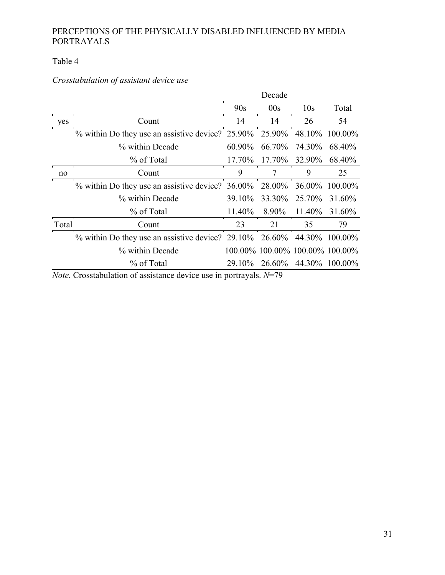## Table 4

## <span id="page-37-0"></span>*Crosstabulation of assistant device use*

|       |                                                                              |        | Decade |                                 |                |
|-------|------------------------------------------------------------------------------|--------|--------|---------------------------------|----------------|
|       |                                                                              | 90s    | 00s    | 10 <sub>s</sub>                 | Total          |
| yes   | Count                                                                        | 14     | 14     | 26                              | 54             |
|       | % within Do they use an assistive device? 25.90% 25.90% 48.10% 100.00%       |        |        |                                 |                |
|       | % within Decade                                                              | 60.90% |        | 66.70% 74.30%                   | 68.40%         |
|       | % of Total                                                                   | 17.70% |        | 17.70% 32.90%                   | 68.40%         |
| no    | Count                                                                        | 9      | 7      | 9                               | 25             |
|       | $\%$ within Do they use an assistive device? 36.00% 28.00%                   |        |        |                                 | 36.00% 100.00% |
|       | % within Decade                                                              | 39.10% | 33.30% | 25.70%                          | 31.60%         |
|       | % of Total                                                                   | 11.40% | 8.90%  | 11.40%                          | 31.60%         |
| Total | Count                                                                        | 23     | 21     | 35                              | 79             |
|       | % within Do they use an assistive device? $29.10\%$ $26.60\%$ 44.30% 100.00% |        |        |                                 |                |
|       | % within Decade                                                              |        |        | 100.00% 100.00% 100.00% 100.00% |                |
|       | % of Total                                                                   | 29.10% |        | 26.60% 44.30% 100.00%           |                |

*Note.* Crosstabulation of assistance device use in portrayals. *N*=79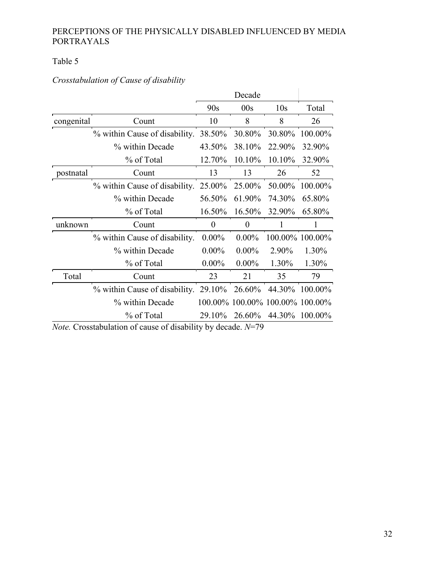## Table 5

## <span id="page-38-0"></span>*Crosstabulation of Cause of disability*

|            |                                      |                  | Decade                          |                 |                 |
|------------|--------------------------------------|------------------|---------------------------------|-----------------|-----------------|
|            |                                      | 90s              | 00s                             | 10 <sub>s</sub> | Total           |
| congenital | Count                                | 10               | 8                               | 8               | 26              |
|            | % within Cause of disability.        | 38.50%           | 30.80%                          | 30.80%          | 100.00%         |
|            | % within Decade                      | 43.50%           | 38.10%                          | 22.90%          | 32.90%          |
|            | % of Total                           | 12.70%           | 10.10%                          | 10.10%          | 32.90%          |
| postnatal  | Count                                | 13               | 13                              | 26              | 52              |
|            | % within Cause of disability. 25.00% |                  | 25.00%                          | 50.00%          | 100.00%         |
|            | % within Decade                      | 56.50%           | 61.90%                          | 74.30%          | 65.80%          |
|            | % of Total                           | 16.50%           | 16.50%                          | 32.90%          | 65.80%          |
| unknown    | Count                                | $\boldsymbol{0}$ | $\theta$                        |                 |                 |
|            | % within Cause of disability.        | $0.00\%$         | $0.00\%$                        |                 | 100.00% 100.00% |
|            | % within Decade                      | $0.00\%$         | $0.00\%$                        | 2.90%           | 1.30%           |
|            | % of Total                           | $0.00\%$         | $0.00\%$                        | 1.30%           | 1.30%           |
| Total      | Count                                | 23               | 21                              | 35              | 79              |
|            | % within Cause of disability. 29.10% |                  | 26.60%                          | 44.30%          | 100.00%         |
|            | % within Decade                      |                  | 100.00% 100.00% 100.00% 100.00% |                 |                 |
|            | % of Total                           | 29.10%           | 26.60%                          | 44.30%          | 100.00%         |

*Note.* Crosstabulation of cause of disability by decade. *N*=79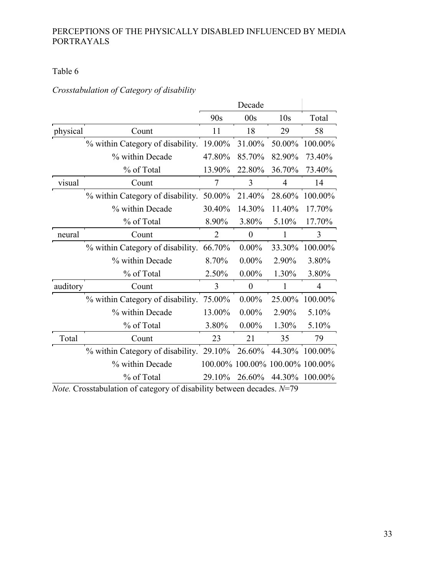## Table 6

## <span id="page-39-0"></span>*Crosstabulation of Category of disability*

|          |                                         |        | Decade                          |                 |            |
|----------|-----------------------------------------|--------|---------------------------------|-----------------|------------|
|          |                                         | 90s    | 00s                             | 10 <sub>s</sub> | Total      |
| physical | Count                                   | 11     | 18                              | 29              | 58         |
|          | % within Category of disability. 19.00% |        | 31.00%                          | 50.00%          | 100.00%    |
|          | % within Decade                         | 47.80% | 85.70%                          | 82.90%          | 73.40%     |
|          | % of Total                              | 13.90% | 22.80%                          | 36.70%          | 73.40%     |
| visual   | Count                                   | 7      | 3                               | $\overline{4}$  | 14         |
|          | % within Category of disability.        | 50.00% | 21.40%                          | 28.60%          | 100.00%    |
|          | % within Decade                         | 30.40% | 14.30%                          | 11.40%          | 17.70%     |
|          | % of Total                              | 8.90%  | 3.80%                           | 5.10%           | 17.70%     |
| neural   | Count                                   | 2      | $\Omega$                        |                 | 3          |
|          | % within Category of disability.        | 66.70% | $0.00\%$                        | 33.30%          | 100.00%    |
|          | % within Decade                         | 8.70%  | $0.00\%$                        | 2.90%           | 3.80%      |
|          | % of Total                              | 2.50%  | $0.00\%$                        | 1.30%           | 3.80%      |
| auditory | Count                                   | 3      | $\theta$                        |                 | 4          |
|          | % within Category of disability.        | 75.00% | $0.00\%$                        | 25.00%          | 100.00%    |
|          | % within Decade                         | 13.00% | $0.00\%$                        | 2.90%           | 5.10%      |
|          | % of Total                              | 3.80%  | $0.00\%$                        | 1.30%           | 5.10%      |
| Total    | Count                                   | 23     | 21                              | 35              | 79         |
|          | % within Category of disability. 29.10% |        | 26.60%                          | 44.30%          | $100.00\%$ |
|          | % within Decade                         |        | 100.00% 100.00% 100.00% 100.00% |                 |            |
|          | % of Total                              | 29.10% | 26.60%                          | 44.30%          | 100.00%    |

*Note.* Crosstabulation of category of disability between decades. *N*=79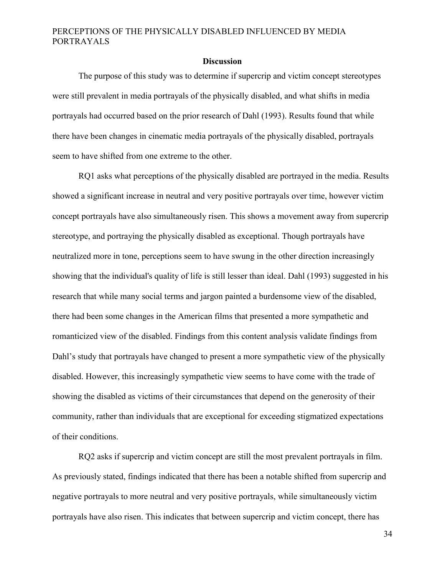#### **Discussion**

<span id="page-40-0"></span>The purpose of this study was to determine if supercrip and victim concept stereotypes were still prevalent in media portrayals of the physically disabled, and what shifts in media portrayals had occurred based on the prior research of Dahl (1993). Results found that while there have been changes in cinematic media portrayals of the physically disabled, portrayals seem to have shifted from one extreme to the other.

RQ1 asks what perceptions of the physically disabled are portrayed in the media. Results showed a significant increase in neutral and very positive portrayals over time, however victim concept portrayals have also simultaneously risen. This shows a movement away from supercrip stereotype, and portraying the physically disabled as exceptional. Though portrayals have neutralized more in tone, perceptions seem to have swung in the other direction increasingly showing that the individual's quality of life is still lesser than ideal. Dahl (1993) suggested in his research that while many social terms and jargon painted a burdensome view of the disabled, there had been some changes in the American films that presented a more sympathetic and romanticized view of the disabled. Findings from this content analysis validate findings from Dahl's study that portrayals have changed to present a more sympathetic view of the physically disabled. However, this increasingly sympathetic view seems to have come with the trade of showing the disabled as victims of their circumstances that depend on the generosity of their community, rather than individuals that are exceptional for exceeding stigmatized expectations of their conditions.

RQ2 asks if supercrip and victim concept are still the most prevalent portrayals in film. As previously stated, findings indicated that there has been a notable shifted from supercrip and negative portrayals to more neutral and very positive portrayals, while simultaneously victim portrayals have also risen. This indicates that between supercrip and victim concept, there has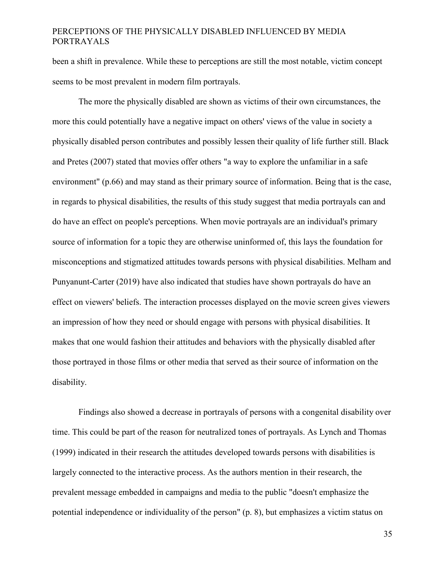been a shift in prevalence. While these to perceptions are still the most notable, victim concept seems to be most prevalent in modern film portrayals.

The more the physically disabled are shown as victims of their own circumstances, the more this could potentially have a negative impact on others' views of the value in society a physically disabled person contributes and possibly lessen their quality of life further still. Black and Pretes (2007) stated that movies offer others "a way to explore the unfamiliar in a safe environment" (p.66) and may stand as their primary source of information. Being that is the case, in regards to physical disabilities, the results of this study suggest that media portrayals can and do have an effect on people's perceptions. When movie portrayals are an individual's primary source of information for a topic they are otherwise uninformed of, this lays the foundation for misconceptions and stigmatized attitudes towards persons with physical disabilities. Melham and Punyanunt-Carter (2019) have also indicated that studies have shown portrayals do have an effect on viewers' beliefs. The interaction processes displayed on the movie screen gives viewers an impression of how they need or should engage with persons with physical disabilities. It makes that one would fashion their attitudes and behaviors with the physically disabled after those portrayed in those films or other media that served as their source of information on the disability.

Findings also showed a decrease in portrayals of persons with a congenital disability over time. This could be part of the reason for neutralized tones of portrayals. As Lynch and Thomas (1999) indicated in their research the attitudes developed towards persons with disabilities is largely connected to the interactive process. As the authors mention in their research, the prevalent message embedded in campaigns and media to the public "doesn't emphasize the potential independence or individuality of the person" (p. 8), but emphasizes a victim status on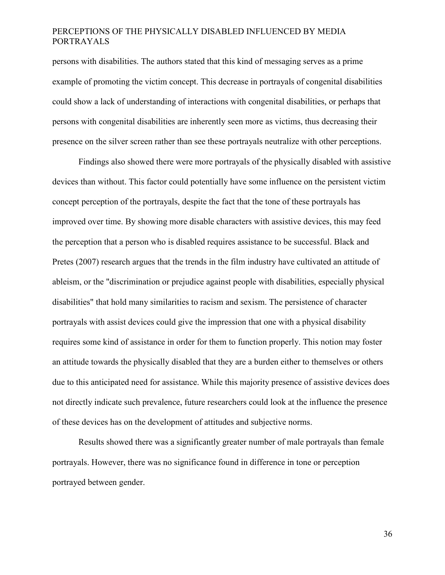persons with disabilities. The authors stated that this kind of messaging serves as a prime example of promoting the victim concept. This decrease in portrayals of congenital disabilities could show a lack of understanding of interactions with congenital disabilities, or perhaps that persons with congenital disabilities are inherently seen more as victims, thus decreasing their presence on the silver screen rather than see these portrayals neutralize with other perceptions.

Findings also showed there were more portrayals of the physically disabled with assistive devices than without. This factor could potentially have some influence on the persistent victim concept perception of the portrayals, despite the fact that the tone of these portrayals has improved over time. By showing more disable characters with assistive devices, this may feed the perception that a person who is disabled requires assistance to be successful. Black and Pretes (2007) research argues that the trends in the film industry have cultivated an attitude of ableism, or the "discrimination or prejudice against people with disabilities, especially physical disabilities" that hold many similarities to racism and sexism. The persistence of character portrayals with assist devices could give the impression that one with a physical disability requires some kind of assistance in order for them to function properly. This notion may foster an attitude towards the physically disabled that they are a burden either to themselves or others due to this anticipated need for assistance. While this majority presence of assistive devices does not directly indicate such prevalence, future researchers could look at the influence the presence of these devices has on the development of attitudes and subjective norms.

Results showed there was a significantly greater number of male portrayals than female portrayals. However, there was no significance found in difference in tone or perception portrayed between gender.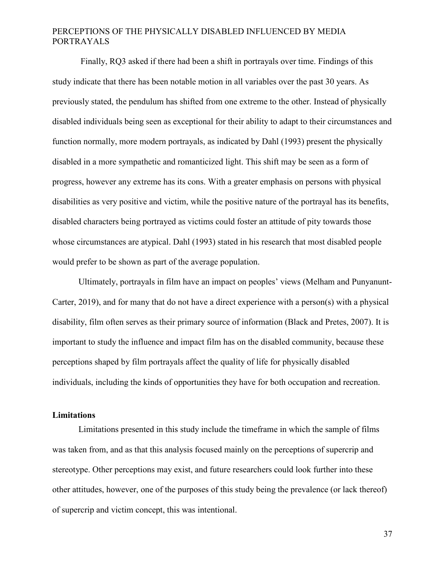Finally, RQ3 asked if there had been a shift in portrayals over time. Findings of this study indicate that there has been notable motion in all variables over the past 30 years. As previously stated, the pendulum has shifted from one extreme to the other. Instead of physically disabled individuals being seen as exceptional for their ability to adapt to their circumstances and function normally, more modern portrayals, as indicated by Dahl (1993) present the physically disabled in a more sympathetic and romanticized light. This shift may be seen as a form of progress, however any extreme has its cons. With a greater emphasis on persons with physical disabilities as very positive and victim, while the positive nature of the portrayal has its benefits, disabled characters being portrayed as victims could foster an attitude of pity towards those whose circumstances are atypical. Dahl (1993) stated in his research that most disabled people would prefer to be shown as part of the average population.

Ultimately, portrayals in film have an impact on peoples' views (Melham and Punyanunt-Carter, 2019), and for many that do not have a direct experience with a person(s) with a physical disability, film often serves as their primary source of information (Black and Pretes, 2007). It is important to study the influence and impact film has on the disabled community, because these perceptions shaped by film portrayals affect the quality of life for physically disabled individuals, including the kinds of opportunities they have for both occupation and recreation.

#### <span id="page-43-0"></span>**Limitations**

Limitations presented in this study include the timeframe in which the sample of films was taken from, and as that this analysis focused mainly on the perceptions of supercrip and stereotype. Other perceptions may exist, and future researchers could look further into these other attitudes, however, one of the purposes of this study being the prevalence (or lack thereof) of supercrip and victim concept, this was intentional.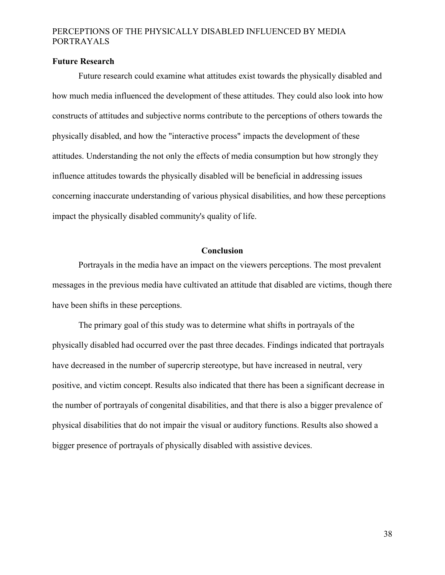#### <span id="page-44-0"></span>**Future Research**

Future research could examine what attitudes exist towards the physically disabled and how much media influenced the development of these attitudes. They could also look into how constructs of attitudes and subjective norms contribute to the perceptions of others towards the physically disabled, and how the "interactive process" impacts the development of these attitudes. Understanding the not only the effects of media consumption but how strongly they influence attitudes towards the physically disabled will be beneficial in addressing issues concerning inaccurate understanding of various physical disabilities, and how these perceptions impact the physically disabled community's quality of life.

### **Conclusion**

<span id="page-44-1"></span>Portrayals in the media have an impact on the viewers perceptions. The most prevalent messages in the previous media have cultivated an attitude that disabled are victims, though there have been shifts in these perceptions.

The primary goal of this study was to determine what shifts in portrayals of the physically disabled had occurred over the past three decades. Findings indicated that portrayals have decreased in the number of supercrip stereotype, but have increased in neutral, very positive, and victim concept. Results also indicated that there has been a significant decrease in the number of portrayals of congenital disabilities, and that there is also a bigger prevalence of physical disabilities that do not impair the visual or auditory functions. Results also showed a bigger presence of portrayals of physically disabled with assistive devices.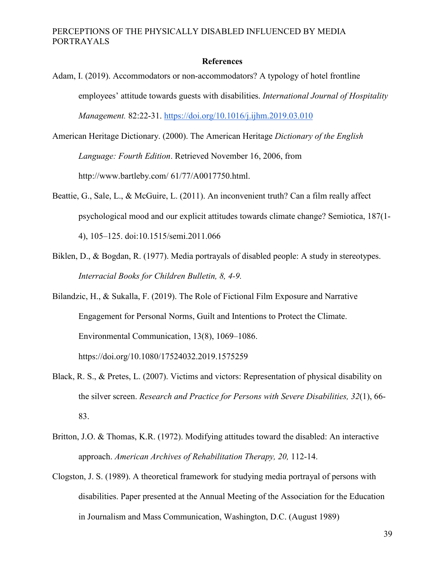#### **References**

- <span id="page-45-0"></span>Adam, I. (2019). Accommodators or non-accommodators? A typology of hotel frontline employees' attitude towards guests with disabilities. *International Journal of Hospitality Management.* 82:22-31. <https://doi.org/10.1016/j.ijhm.2019.03.010>
- American Heritage Dictionary. (2000). The American Heritage *Dictionary of the English Language: Fourth Edition*. Retrieved November 16, 2006, from http://www.bartleby.com/ 61/77/A0017750.html.
- Beattie, G., Sale, L., & McGuire, L. (2011). An inconvenient truth? Can a film really affect psychological mood and our explicit attitudes towards climate change? Semiotica, 187(1- 4), 105–125. doi:10.1515/semi.2011.066
- Biklen, D., & Bogdan, R. (1977). Media portrayals of disabled people: A study in stereotypes. *Interracial Books for Children Bulletin, 8, 4-9.*
- Bilandzic, H., & Sukalla, F. (2019). The Role of Fictional Film Exposure and Narrative Engagement for Personal Norms, Guilt and Intentions to Protect the Climate. Environmental Communication, 13(8), 1069–1086. https://doi.org/10.1080/17524032.2019.1575259
- Black, R. S., & Pretes, L. (2007). Victims and victors: Representation of physical disability on the silver screen. *Research and Practice for Persons with Severe Disabilities, 32*(1), 66- 83.
- Britton, J.O. & Thomas, K.R. (1972). Modifying attitudes toward the disabled: An interactive approach. *American Archives of Rehabilitation Therapy, 20,* 112-14.
- Clogston, J. S. (1989). A theoretical framework for studying media portrayal of persons with disabilities. Paper presented at the Annual Meeting of the Association for the Education in Journalism and Mass Communication, Washington, D.C. (August 1989)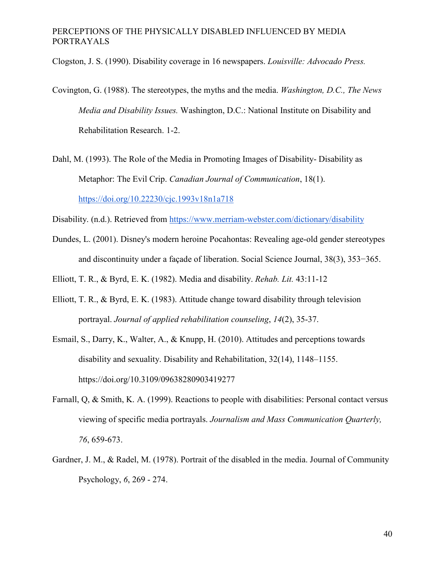Clogston, J. S. (1990). Disability coverage in 16 newspapers. *Louisville: Advocado Press.*

- Covington, G. (1988). The stereotypes, the myths and the media. *Washington, D.C., The News Media and Disability Issues.* Washington, D.C.: National Institute on Disability and Rehabilitation Research. 1-2.
- Dahl, M. (1993). The Role of the Media in Promoting Images of Disability- Disability as Metaphor: The Evil Crip. *Canadian Journal of Communication*, 18(1). <https://doi.org/10.22230/cjc.1993v18n1a718>
- Disability. (n.d.). Retrieved from<https://www.merriam-webster.com/dictionary/disability>
- Dundes, L. (2001). Disney's modern heroine Pocahontas: Revealing age-old gender stereotypes and discontinuity under a façade of liberation. Social Science Journal, 38(3), 353−365.
- Elliott, T. R., & Byrd, E. K. (1982). Media and disability. *Rehab. Lit.* 43:11-12
- Elliott, T. R., & Byrd, E. K. (1983). Attitude change toward disability through television portrayal. *Journal of applied rehabilitation counseling*, *14*(2), 35-37.
- Esmail, S., Darry, K., Walter, A., & Knupp, H. (2010). Attitudes and perceptions towards disability and sexuality. Disability and Rehabilitation, 32(14), 1148–1155. https://doi.org/10.3109/09638280903419277
- Farnall, Q, & Smith, K. A. (1999). Reactions to people with disabilities: Personal contact versus viewing of specific media portrayals. *Journalism and Mass Communication Quarterly, 76*, 659-673.
- Gardner, J. M., & Radel, M. (1978). Portrait of the disabled in the media. Journal of Community Psychology, *6*, 269 - 274.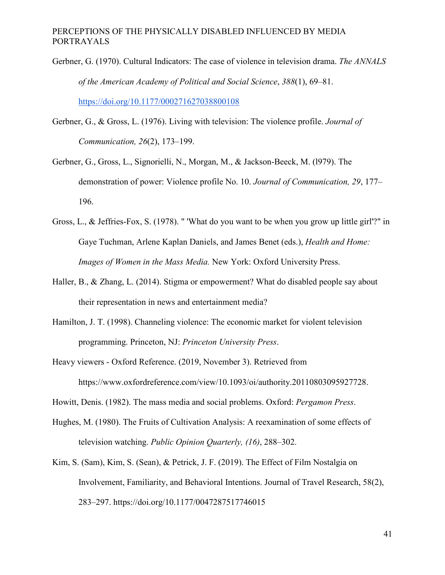Gerbner, G. (1970). Cultural Indicators: The case of violence in television drama. *The ANNALS of the American Academy of Political and Social Science*, *388*(1), 69–81[.](https://doi.org/10.1177/000271627038800108)

<https://doi.org/10.1177/000271627038800108>

- Gerbner, G., & Gross, L. (1976). Living with television: The violence profile. *Journal of Communication, 26*(2), 173–199.
- Gerbner, G., Gross, L., Signorielli, N., Morgan, M., & Jackson-Beeck, M. (l979). The demonstration of power: Violence profile No. 10. *Journal of Communication, 29*, 177– 196.
- Gross, L., & Jeffries-Fox, S. (1978). " 'What do you want to be when you grow up little girl'?" in Gaye Tuchman, Arlene Kaplan Daniels, and James Benet (eds.), *Health and Home: Images of Women in the Mass Media.* New York: Oxford University Press.
- Haller, B., & Zhang, L. (2014). Stigma or empowerment? What do disabled people say about their representation in news and entertainment media?
- Hamilton, J. T. (1998). Channeling violence: The economic market for violent television programming. Princeton, NJ: *Princeton University Press*.
- Heavy viewers Oxford Reference. (2019, November 3). Retrieved from https://www.oxfordreference.com/view/10.1093/oi/authority.20110803095927728.
- Howitt, Denis. (1982). The mass media and social problems. Oxford: *Pergamon Press*.
- Hughes, M. (1980). The Fruits of Cultivation Analysis: A reexamination of some effects of television watching. *Public Opinion Quarterly, (16)*, 288–302.
- Kim, S. (Sam), Kim, S. (Sean), & Petrick, J. F. (2019). The Effect of Film Nostalgia on Involvement, Familiarity, and Behavioral Intentions. Journal of Travel Research, 58(2), 283–297. https://doi.org/10.1177/0047287517746015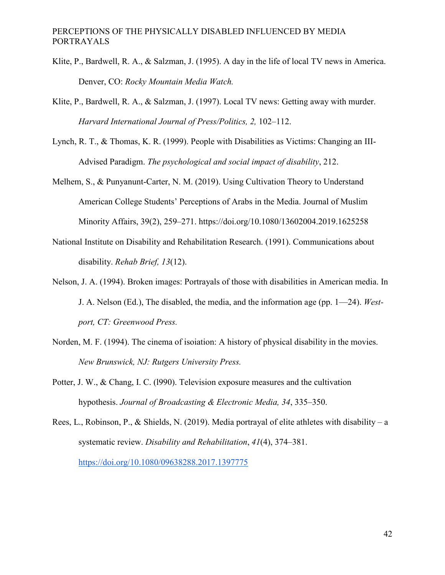- Klite, P., Bardwell, R. A., & Salzman, J. (1995). A day in the life of local TV news in America. Denver, CO: *Rocky Mountain Media Watch.*
- Klite, P., Bardwell, R. A., & Salzman, J. (1997). Local TV news: Getting away with murder. *Harvard International Journal of Press/Politics, 2,* 102–112.
- Lynch, R. T., & Thomas, K. R. (1999). People with Disabilities as Victims: Changing an III-Advised Paradigm. *The psychological and social impact of disability*, 212.
- Melhem, S., & Punyanunt-Carter, N. M. (2019). Using Cultivation Theory to Understand American College Students' Perceptions of Arabs in the Media. Journal of Muslim Minority Affairs, 39(2), 259–271. https://doi.org/10.1080/13602004.2019.1625258
- National Institute on Disability and Rehabilitation Research. (1991). Communications about disability. *Rehab Brief, 13*(12).
- Nelson, J. A. (1994). Broken images: Portrayals of those with disabilities in American media. In J. A. Nelson (Ed.), The disabled, the media, and the information age (pp. 1—24). *Westport, CT: Greenwood Press.*
- Norden, M. F. (1994). The cinema of isoiation: A history of physical disability in the movies. *New Brunswick, NJ: Rutgers University Press.*
- Potter, J. W., & Chang, I. C. (l990). Television exposure measures and the cultivation hypothesis. *Journal of Broadcasting & Electronic Media, 34*, 335–350.

Rees, L., Robinson, P., & Shields, N. (2019). Media portrayal of elite athletes with disability – a systematic review. *Disability and Rehabilitation*, *41*(4), 374–381[.](https://doi.org/10.1080/09638288.2017.1397775) <https://doi.org/10.1080/09638288.2017.1397775>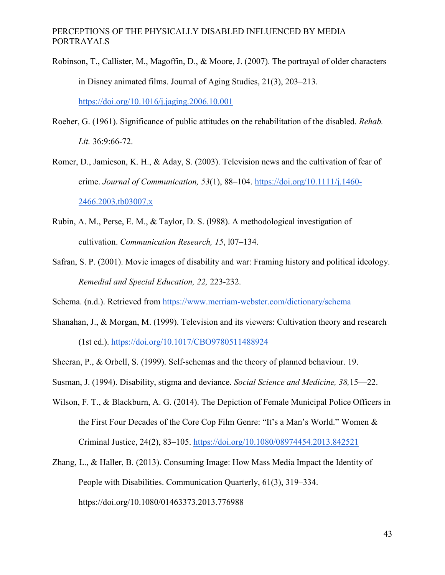- Robinson, T., Callister, M., Magoffin, D., & Moore, J. (2007). The portrayal of older characters in Disney animated films. Journal of Aging Studies, 21(3), 203–213[.](https://doi.org/10.1016/j.jaging.2006.10.001) <https://doi.org/10.1016/j.jaging.2006.10.001>
- Roeher, G. (1961). Significance of public attitudes on the rehabilitation of the disabled. *Rehab. Lit.* 36:9:66-72.

Romer, D., Jamieson, K. H., & Aday, S. (2003). Television news and the cultivation of fear of crime. *Journal of Communication, 53*(1), 88–104. [https://doi.org/10.1111/j.1460-](https://doi.org/10.1111/j.1460-2466.2003.tb03007.x) [2466.2003.tb03007.x](https://doi.org/10.1111/j.1460-2466.2003.tb03007.x)

- Rubin, A. M., Perse, E. M., & Taylor, D. S. (l988). A methodological investigation of cultivation. *Communication Research, 15*, l07–134.
- Safran, S. P. (2001). Movie images of disability and war: Framing history and political ideology. *Remedial and Special Education, 22,* 223-232.

Schema. (n.d.). Retrieved from<https://www.merriam-webster.com/dictionary/schema>

- Shanahan, J., & Morgan, M. (1999). Television and its viewers: Cultivation theory and research (1st ed.).<https://doi.org/10.1017/CBO9780511488924>
- Sheeran, P., & Orbell, S. (1999). Self-schemas and the theory of planned behaviour. 19.
- Susman, J. (1994). Disability, stigma and deviance. *Social Science and Medicine, 38,*15—22.
- Wilson, F. T., & Blackburn, A. G. (2014). The Depiction of Female Municipal Police Officers in the First Four Decades of the Core Cop Film Genre: "It's a Man's World." Women & Criminal Justice, 24(2), 83–105. <https://doi.org/10.1080/08974454.2013.842521>
- Zhang, L., & Haller, B. (2013). Consuming Image: How Mass Media Impact the Identity of People with Disabilities. Communication Quarterly, 61(3), 319–334. https://doi.org/10.1080/01463373.2013.776988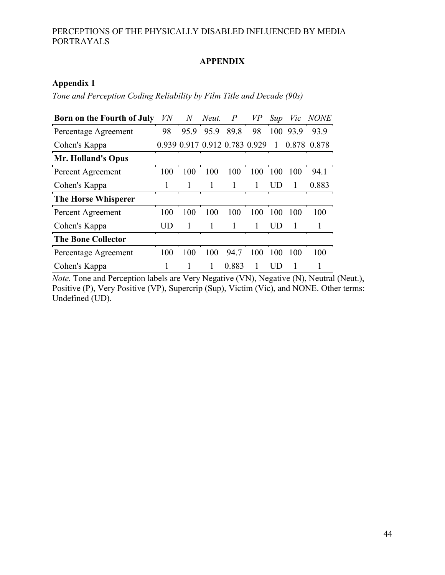## **APPENDIX**

## <span id="page-50-1"></span><span id="page-50-0"></span>**Appendix 1**

*Tone and Perception Coding Reliability by Film Title and Decade (90s)*

| <b>Born on the Fourth of July</b> | VN  | $\overline{N}$                | Neut. | $\overline{P}$ | VP  | Sup |          | Vic NONE    |
|-----------------------------------|-----|-------------------------------|-------|----------------|-----|-----|----------|-------------|
| Percentage Agreement              | 98  | 95.9                          | 95.9  | 89.8           | 98  |     | 100 93.9 | 93.9        |
| Cohen's Kappa                     |     | 0.939 0.917 0.912 0.783 0.929 |       |                |     | 1   |          | 0.878 0.878 |
| <b>Mr. Holland's Opus</b>         |     |                               |       |                |     |     |          |             |
| Percent Agreement                 | 100 | 100                           | 100   | 100            | 100 | 100 | 100      | 94.1        |
| Cohen's Kappa                     |     |                               | 1     | 1              | 1   | UD  |          | 0.883       |
| <b>The Horse Whisperer</b>        |     |                               |       |                |     |     |          |             |
| Percent Agreement                 | 100 | 100                           | 100   | 100            | 100 | 100 | 100      | 100         |
| Cohen's Kappa                     | UD  |                               | 1     | 1              |     | UD  |          |             |
| <b>The Bone Collector</b>         |     |                               |       |                |     |     |          |             |
| Percentage Agreement              | 100 | 100                           | 100   | 94.7           | 100 | 100 | 100      | 100         |
| Cohen's Kappa                     |     |                               | 1     | 0.883          |     | UD  |          |             |

*Note.* Tone and Perception labels are Very Negative (VN), Negative (N), Neutral (Neut.), Positive (P), Very Positive (VP), Supercrip (Sup), Victim (Vic), and NONE. Other terms: Undefined (UD).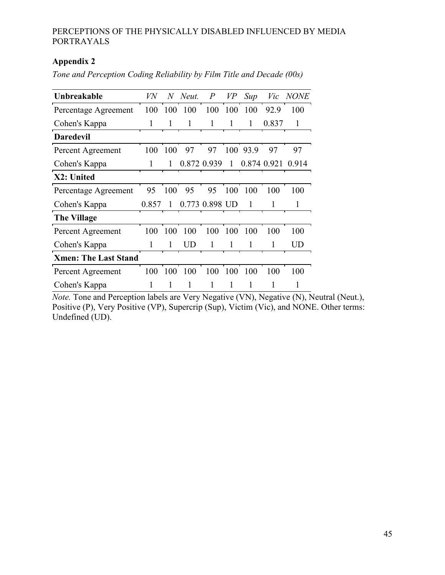## <span id="page-51-0"></span>**Appendix 2**

*Tone and Perception Coding Reliability by Film Title and Decade (00s)*

| Unbreakable                 | VN    | $N_{\rm \scriptscriptstyle I}$ | Neut. | $\boldsymbol{P}$ | <i>VP</i> | Sup         |       | Vic NONE  |
|-----------------------------|-------|--------------------------------|-------|------------------|-----------|-------------|-------|-----------|
| Percentage Agreement        | 100   | 100                            | 100   | 100              | 100       | 100         | 92.9  | 100       |
| Cohen's Kappa               | 1     |                                | 1     | 1                |           |             | 0.837 |           |
| <b>Daredevil</b>            |       |                                |       |                  |           |             |       |           |
| Percent Agreement           | 100   | 100                            | 97    | 97               | 100       | 93.9        | 97    | 97        |
| Cohen's Kappa               | 1     | 1                              |       | 0.872 0.939      | 1         | 0.874 0.921 |       | 0.914     |
| X2: United                  |       |                                |       |                  |           |             |       |           |
| Percentage Agreement        | 95    | 100                            | 95    | 95               | 100       | 100         | 100   | 100       |
| Cohen's Kappa               | 0.857 |                                |       | 0.773 0.898 UD   |           |             |       |           |
| <b>The Village</b>          |       |                                |       |                  |           |             |       |           |
| Percent Agreement           | 100   | 100                            | 100   | 100              | 100       | 100         | 100   | 100       |
| Cohen's Kappa               | 1     | 1                              | UD    | 1                |           |             | 1     | <b>UD</b> |
| <b>Xmen: The Last Stand</b> |       |                                |       |                  |           |             |       |           |
| Percent Agreement           | 100   | 100                            | 100   | 100              | 100       | 100         | 100   | 100       |
| Cohen's Kappa               | 1     |                                |       |                  |           |             |       |           |

*Note.* Tone and Perception labels are Very Negative (VN), Negative (N), Neutral (Neut.), Positive (P), Very Positive (VP), Supercrip (Sup), Victim (Vic), and NONE. Other terms: Undefined (UD).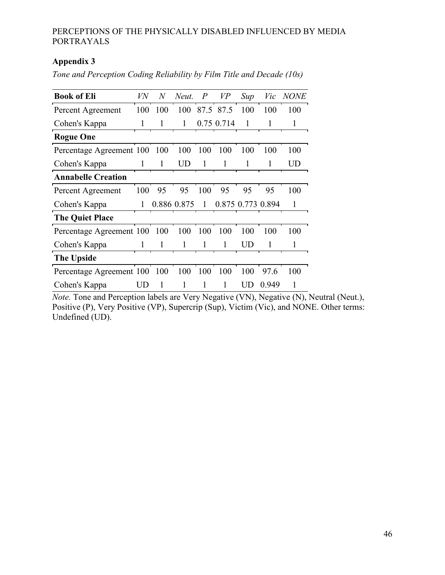## <span id="page-52-0"></span>**Appendix 3**

| <b>Book of Eli</b>        | VN  | $\,N$ | Neut.       | $\overline{P}$ | VP           | Sup                    | Vic               | <b>NONE</b> |
|---------------------------|-----|-------|-------------|----------------|--------------|------------------------|-------------------|-------------|
| Percent Agreement         | 100 | 100   | 100         |                | 87.5 87.5    | 100                    | 100               | 100         |
| Cohen's Kappa             | 1   |       | 1           |                | 0.75 0.714   | $\mathbf{1}$           |                   |             |
| <b>Rogue One</b>          |     |       |             |                |              |                        |                   |             |
| Percentage Agreement 100  |     | -100  | 100         | 100            | 100          | 100                    | 100               | 100         |
| Cohen's Kappa             | 1   | 1     | <b>UD</b>   | 1              | 1            | 1                      | 1                 | UD          |
| <b>Annabelle Creation</b> |     |       |             |                |              |                        |                   |             |
| Percent Agreement         | 100 | 95    | 95          | 100            | 95           | 95                     | 95                | 100         |
| Cohen's Kappa             | 1   |       | 0.886 0.875 | $\mathbf{1}$   |              |                        | 0.875 0.773 0.894 |             |
| <b>The Quiet Place</b>    |     |       |             |                |              |                        |                   |             |
| Percentage Agreement 100  |     | 100   | 100         | 100            | 100          | 100                    | 100               | 100         |
| Cohen's Kappa             | 1   | 1     | 1           | 1              | $\mathbf{1}$ | $\overline{\text{UD}}$ | 1                 | 1           |
| <b>The Upside</b>         |     |       |             |                |              |                        |                   |             |
| Percentage Agreement 100  |     | 100   | 100         | 100            | 100          | 100                    | 97.6              | 100         |
| Cohen's Kappa             | UD  |       |             |                |              | UD                     | 0.949             |             |

*Tone and Perception Coding Reliability by Film Title and Decade (10s)*

*Note.* Tone and Perception labels are Very Negative (VN), Negative (N), Neutral (Neut.), Positive (P), Very Positive (VP), Supercrip (Sup), Victim (Vic), and NONE. Other terms: Undefined (UD).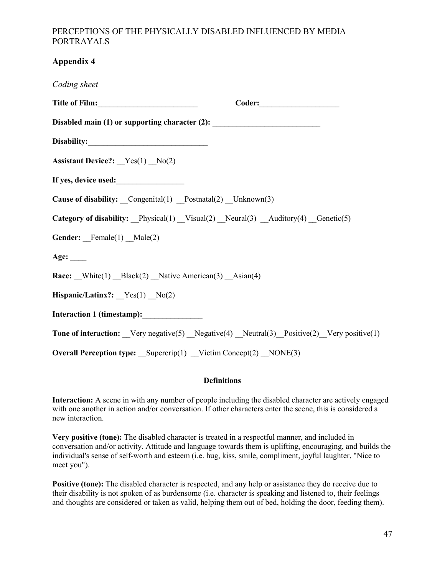## <span id="page-53-0"></span>**Appendix 4**

| Coding sheet                                                                              |
|-------------------------------------------------------------------------------------------|
|                                                                                           |
| Disabled main (1) or supporting character (2): _________________________________          |
|                                                                                           |
| <b>Assistant Device?:</b> $Yes(1) No(2)$                                                  |
| If yes, device used:                                                                      |
| Cause of disability: _Congenital(1) _Postnatal(2) _Unknown(3)                             |
| Category of disability: Physical(1) Visual(2) Neural(3) Auditory(4) Genetic(5)            |
| Gender: Female(1) _Male(2)                                                                |
| Age: $\_\_$                                                                               |
| Race: White(1) _Black(2) _Native American(3) _Asian(4)                                    |
| Hispanic/Latinx?: $Yes(1) No(2)$                                                          |
| Interaction 1 (timestamp):                                                                |
| Tone of interaction: Very negative(5) Negative(4) Neutral(3) Positive(2) Very positive(1) |
| <b>Overall Perception type:</b> Supercrip(1) Victim Concept(2) NONE(3)                    |

#### **Definitions**

**Interaction:** A scene in with any number of people including the disabled character are actively engaged with one another in action and/or conversation. If other characters enter the scene, this is considered a new interaction.

**Very positive (tone):** The disabled character is treated in a respectful manner, and included in conversation and/or activity. Attitude and language towards them is uplifting, encouraging, and builds the individual's sense of self-worth and esteem (i.e. hug, kiss, smile, compliment, joyful laughter, "Nice to meet you").

**Positive (tone):** The disabled character is respected, and any help or assistance they do receive due to their disability is not spoken of as burdensome (i.e. character is speaking and listened to, their feelings and thoughts are considered or taken as valid, helping them out of bed, holding the door, feeding them).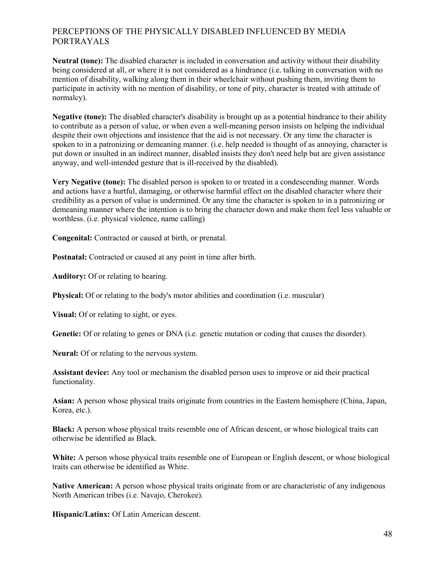**Neutral (tone):** The disabled character is included in conversation and activity without their disability being considered at all, or where it is not considered as a hindrance (i.e. talking in conversation with no mention of disability, walking along them in their wheelchair without pushing them, inviting them to participate in activity with no mention of disability, or tone of pity, character is treated with attitude of normalcy).

**Negative (tone):** The disabled character's disability is brought up as a potential hindrance to their ability to contribute as a person of value, or when even a well-meaning person insists on helping the individual despite their own objections and insistence that the aid is not necessary. Or any time the character is spoken to in a patronizing or demeaning manner. (i.e. help needed is thought of as annoying, character is put down or insulted in an indirect manner, disabled insists they don't need help but are given assistance anyway, and well-intended gesture that is ill-received by the disabled).

**Very Negative (tone):** The disabled person is spoken to or treated in a condescending manner. Words and actions have a hurtful, damaging, or otherwise harmful effect on the disabled character where their credibility as a person of value is undermined. Or any time the character is spoken to in a patronizing or demeaning manner where the intention is to bring the character down and make them feel less valuable or worthless. (i.e. physical violence, name calling)

**Congenital:** Contracted or caused at birth, or prenatal.

**Postnatal:** Contracted or caused at any point in time after birth.

**Auditory:** Of or relating to hearing.

**Physical:** Of or relating to the body's motor abilities and coordination (i.e. muscular)

**Visual:** Of or relating to sight, or eyes.

**Genetic:** Of or relating to genes or DNA (i.e. genetic mutation or coding that causes the disorder).

**Neural:** Of or relating to the nervous system.

**Assistant device:** Any tool or mechanism the disabled person uses to improve or aid their practical functionality.

**Asian:** A person whose physical traits originate from countries in the Eastern hemisphere (China, Japan, Korea, etc.).

**Black:** A person whose physical traits resemble one of African descent, or whose biological traits can otherwise be identified as Black.

**White:** A person whose physical traits resemble one of European or English descent, or whose biological traits can otherwise be identified as White.

**Native American:** A person whose physical traits originate from or are characteristic of any indigenous North American tribes (i.e. Navajo, Cherokee).

**Hispanic/Latinx:** Of Latin American descent.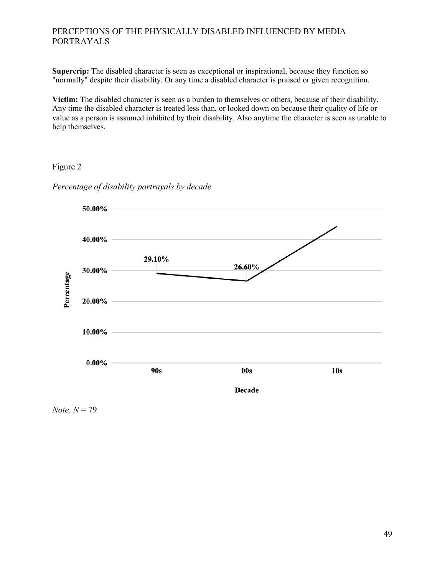Supercrip: The disabled character is seen as exceptional or inspirational, because they function so "normally" despite their disability. Or any time a disabled character is praised or given recognition.

**Victim:** The disabled character is seen as a burden to themselves or others, because of their disability. Any time the disabled character is treated less than, or looked down on because their quality of life or value as a person is assumed inhibited by their disability. Also anytime the character is seen as unable to help themselves.

#### <span id="page-55-0"></span>Figure 2



*Percentage of disability portrayals by decade*

 $Note. N = 79$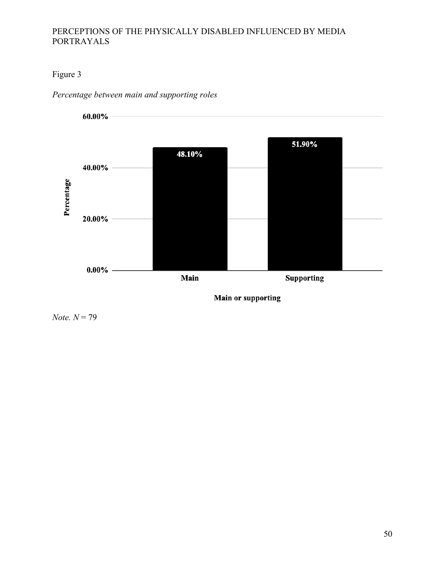## <span id="page-56-0"></span>Figure 3

*Percentage between main and supporting roles*



**Main or supporting** 

*Note. N* = 79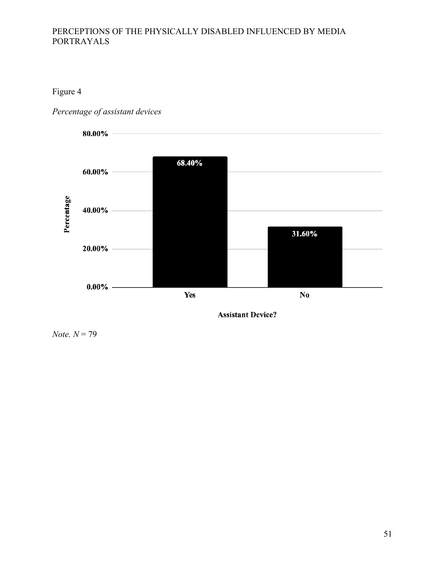## Figure 4

<span id="page-57-0"></span>*Percentage of assistant devices*



**Assistant Device?** 

*Note. N* = 79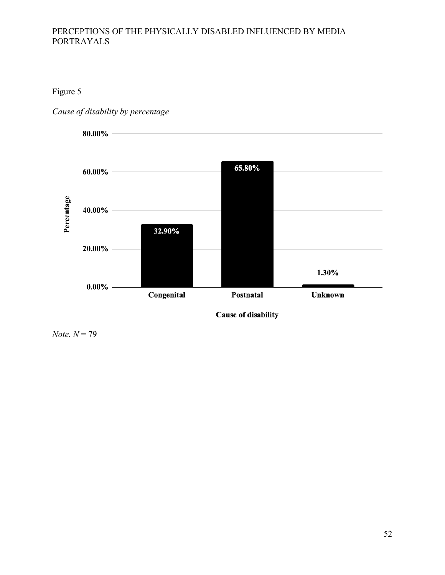## <span id="page-58-0"></span>Figure 5

*Cause of disability by percentage*



*Note. N* = 79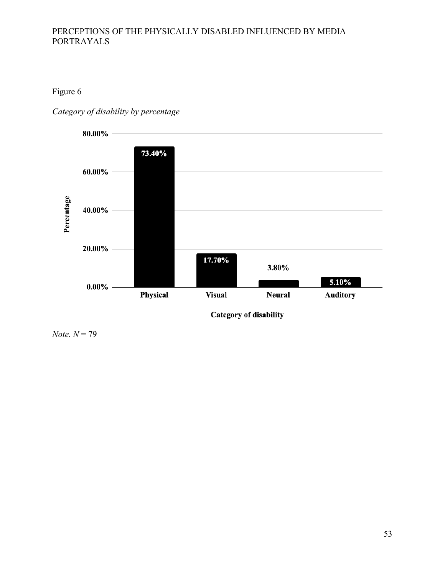## <span id="page-59-0"></span>Figure 6

*Category of disability by percentage*



*Note. N* = 79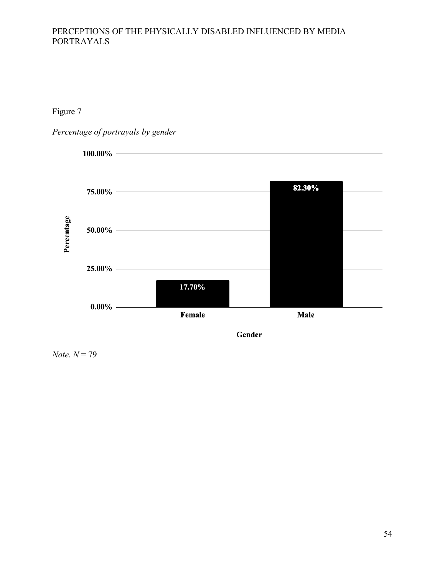<span id="page-60-0"></span>Figure 7

*Percentage of portrayals by gender*



*Note. N* = 79